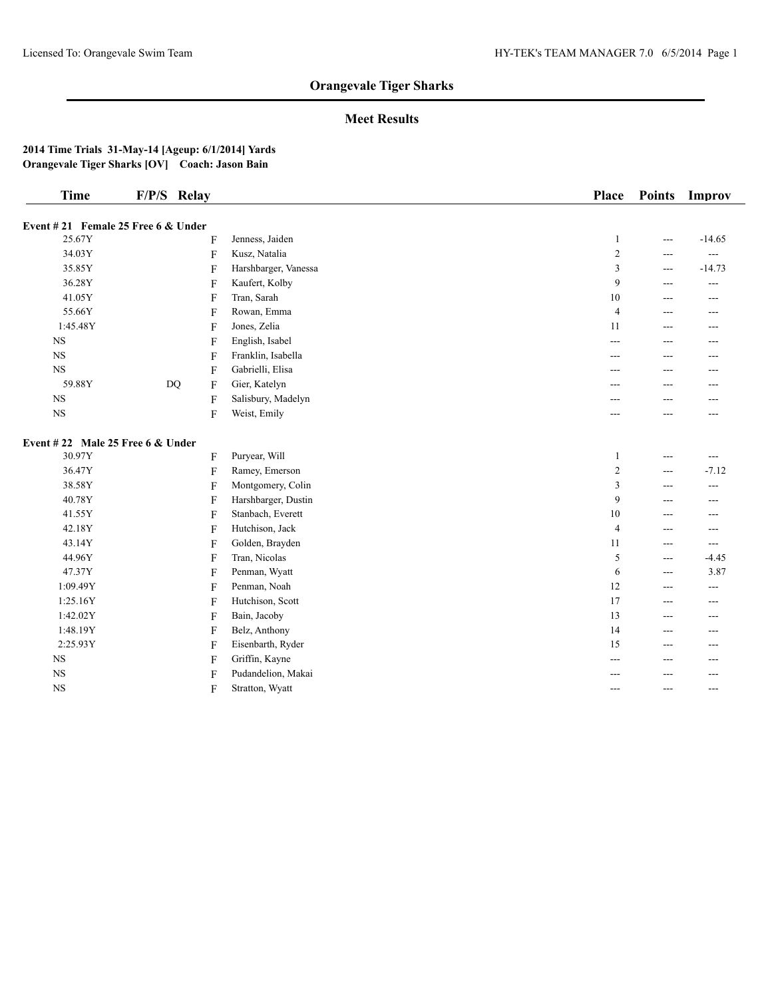## **Meet Results**

| <b>Time</b>                      | F/P/S Relay                          |                |                      | Place          | <b>Points</b>     | Improv         |
|----------------------------------|--------------------------------------|----------------|----------------------|----------------|-------------------|----------------|
|                                  | Event $#21$ Female 25 Free 6 & Under |                |                      |                |                   |                |
| 25.67Y                           |                                      | F              | Jenness, Jaiden      | $\mathbf{1}$   | $\overline{a}$    | $-14.65$       |
| 34.03Y                           |                                      | F              | Kusz, Natalia        | $\overline{c}$ | ---               | $\sim$ $\sim$  |
| 35.85Y                           |                                      | $\overline{F}$ | Harshbarger, Vanessa | 3              | $---$             | $-14.73$       |
| 36.28Y                           |                                      | F              | Kaufert, Kolby       | 9              | ---               | $\overline{a}$ |
| 41.05Y                           |                                      | F              | Tran, Sarah          | 10             | $---$             | $---$          |
| 55.66Y                           |                                      | F              | Rowan, Emma          | $\overline{4}$ | ---               | ---            |
| 1:45.48Y                         |                                      | F              | Jones, Zelia         | 11             | $---$             | $---$          |
| $_{\rm NS}$                      |                                      | F              | English, Isabel      | ---            | $---$             | ---            |
| NS                               |                                      | F              | Franklin, Isabella   | ---            | ---               | ---            |
| $_{\rm NS}$                      |                                      | F              | Gabrielli, Elisa     | ---            | ---               | ---            |
| 59.88Y                           | <b>DQ</b>                            | F              | Gier, Katelyn        |                |                   | ---            |
| $_{\rm NS}$                      |                                      | F              | Salisbury, Madelyn   |                |                   |                |
| NS                               |                                      | F              | Weist, Emily         |                |                   | ---            |
| Event #22 Male 25 Free 6 & Under |                                      |                |                      |                |                   |                |
| 30.97Y                           |                                      | F              | Puryear, Will        | $\mathbf{1}$   | $\overline{a}$    | $\overline{a}$ |
| 36.47Y                           |                                      | $\overline{F}$ | Ramey, Emerson       | $\overline{c}$ | $---$             | $-7.12$        |
| 38.58Y                           |                                      | F              | Montgomery, Colin    | 3              | $---$             | $\overline{a}$ |
| 40.78Y                           |                                      | F              | Harshbarger, Dustin  | 9              | ---               | ---            |
| 41.55Y                           |                                      | F              | Stanbach, Everett    | 10             | $---$             | ---            |
| 42.18Y                           |                                      | F              | Hutchison, Jack      | $\overline{4}$ | $---$             | ---            |
| 43.14Y                           |                                      | F              | Golden, Brayden      | 11             | $---$             | $\overline{a}$ |
| 44.96Y                           |                                      | F              | Tran, Nicolas        | 5              | $\qquad \qquad -$ | $-4.45$        |
| 47.37Y                           |                                      | F              | Penman, Wyatt        | 6              | $---$             | 3.87           |
| 1:09.49Y                         |                                      | F              | Penman, Noah         | 12             | $---$             | $---$          |
| 1:25.16Y                         |                                      | F              | Hutchison, Scott     | 17             | $---$             | ---            |
| 1:42.02Y                         |                                      | F              | Bain, Jacoby         | 13             | ---               | ---            |
| 1:48.19Y                         |                                      | F              | Belz, Anthony        | 14             | $- - -$           | ---            |
| 2:25.93Y                         |                                      | F              | Eisenbarth, Ryder    | 15             | ---               | ---            |
| $_{\rm NS}$                      |                                      | F              | Griffin, Kayne       | $---$          | ---               | ---            |
| $_{\rm NS}$                      |                                      | F              | Pudandelion, Makai   |                |                   | ---            |
| $_{\rm NS}$                      |                                      | F              | Stratton, Wyatt      | $---$          | $---$             | $- - -$        |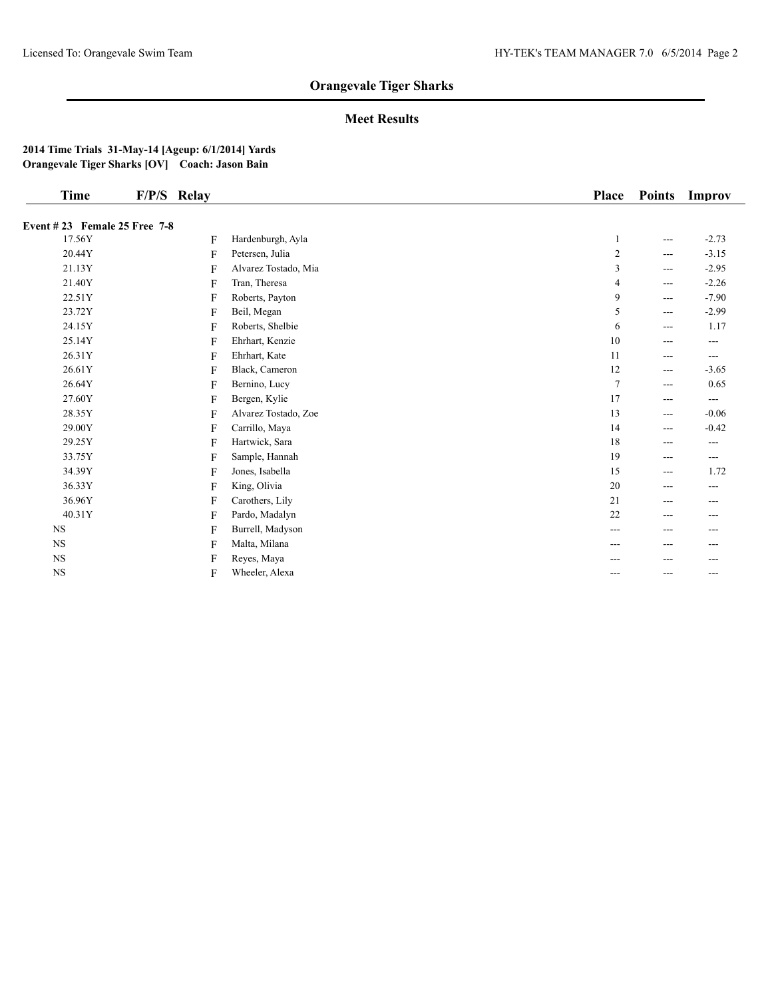## **Meet Results**

| Time                         | F/P/S Relay |                      | <b>Place</b> | <b>Points</b>     | Improv  |
|------------------------------|-------------|----------------------|--------------|-------------------|---------|
| Event #23 Female 25 Free 7-8 |             |                      |              |                   |         |
| 17.56Y                       | F           | Hardenburgh, Ayla    |              | $---$             | $-2.73$ |
| 20.44Y                       | F           | Petersen, Julia      | 2            | $---$             | $-3.15$ |
| 21.13Y                       | F           | Alvarez Tostado, Mia | 3            | $---$             | $-2.95$ |
| 21.40Y                       | F           | Tran, Theresa        | 4            | $---$             | $-2.26$ |
| 22.51Y                       | F           | Roberts, Payton      | 9            | $---$             | $-7.90$ |
| 23.72Y                       | F           | Beil, Megan          | 5            | $\qquad \qquad -$ | $-2.99$ |
| 24.15Y                       | F           | Roberts, Shelbie     | 6            | $---$             | 1.17    |
| 25.14Y                       | F           | Ehrhart, Kenzie      | 10           | $---$             | $---$   |
| 26.31Y                       | F           | Ehrhart, Kate        | 11           | $---$             | $---$   |
| 26.61Y                       | F           | Black, Cameron       | 12           | $\qquad \qquad -$ | $-3.65$ |
| 26.64Y                       | F           | Bernino, Lucy        | 7            | $---$             | 0.65    |
| 27.60Y                       | F           | Bergen, Kylie        | 17           | $---$             | $---$   |
| 28.35Y                       | F           | Alvarez Tostado, Zoe | 13           | $\qquad \qquad -$ | $-0.06$ |
| 29.00Y                       | F           | Carrillo, Maya       | 14           | $---$             | $-0.42$ |
| 29.25Y                       | F           | Hartwick, Sara       | 18           | $---$             | $---$   |
| 33.75Y                       | F           | Sample, Hannah       | 19           | $---$             | $---$   |
| 34.39Y                       | F           | Jones, Isabella      | 15           | $\qquad \qquad -$ | 1.72    |
| 36.33Y                       | F           | King, Olivia         | 20           | $---$             | ---     |
| 36.96Y                       | F           | Carothers, Lily      | 21           | $---$             | $---$   |
| 40.31Y                       | F           | Pardo, Madalyn       | 22           | $---$             | $---$   |
| <b>NS</b>                    | F           | Burrell, Madyson     | ---          | ---               | ---     |
| <b>NS</b>                    | F           | Malta, Milana        | ---          | $---$             | ---     |
| <b>NS</b>                    | F           | Reyes, Maya          |              |                   | ---     |
| $_{\rm NS}$                  | F           | Wheeler, Alexa       | ---          | ---               | $- - -$ |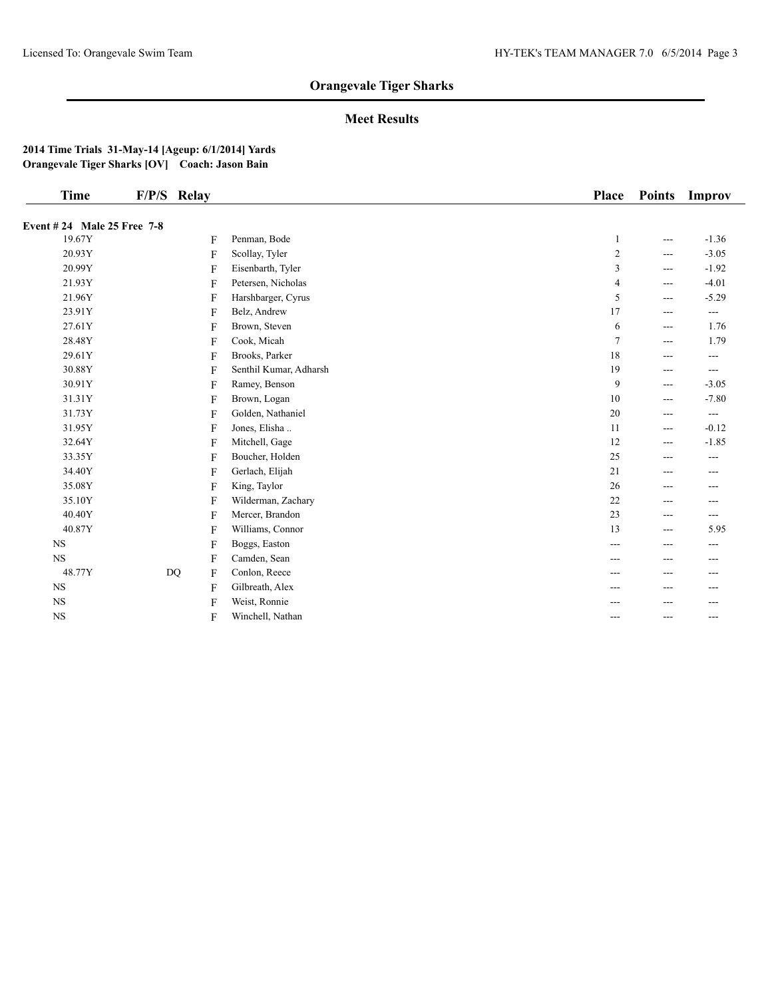## **Meet Results**

| <b>Time</b>                           | F/P/S Relay |                        | <b>Place</b>    | <b>Points</b> | Improv             |
|---------------------------------------|-------------|------------------------|-----------------|---------------|--------------------|
|                                       |             |                        |                 |               |                    |
| Event # 24 Male 25 Free 7-8<br>19.67Y |             | Penman, Bode           |                 |               | $-1.36$            |
| 20.93Y                                | F           |                        | 1               | $---$         |                    |
| 20.99Y                                | F           | Scollay, Tyler         | $\sqrt{2}$<br>3 | $---$         | $-3.05$<br>$-1.92$ |
|                                       | F           | Eisenbarth, Tyler      |                 | $---$         |                    |
| 21.93Y                                | F           | Petersen, Nicholas     | 4               | $---$         | $-4.01$            |
| 21.96Y                                | F           | Harshbarger, Cyrus     | 5               | $\cdots$      | $-5.29$            |
| 23.91Y                                | F           | Belz, Andrew           | 17              | $---$         | $\frac{1}{2}$      |
| 27.61Y                                | F           | Brown, Steven          | 6               | $---$         | 1.76               |
| 28.48Y                                | F           | Cook, Micah            | $\tau$          | $---$         | 1.79               |
| 29.61Y                                | F           | Brooks, Parker         | 18              | ---           | ---                |
| 30.88Y                                | F           | Senthil Kumar, Adharsh | 19              | $\cdots$      | $---$              |
| 30.91Y                                | F           | Ramey, Benson          | 9               | $\cdots$      | $-3.05$            |
| 31.31Y                                | F           | Brown, Logan           | 10              | $\cdots$      | $-7.80$            |
| 31.73Y                                | F           | Golden, Nathaniel      | $20\,$          | $---$         | $---$              |
| 31.95Y                                | F           | Jones, Elisha          | 11              | $---$         | $-0.12$            |
| 32.64Y                                | F           | Mitchell, Gage         | 12              | $---$         | $-1.85$            |
| 33.35Y                                | F           | Boucher, Holden        | 25              | $\cdots$      | $---$              |
| 34.40Y                                | F           | Gerlach, Elijah        | 21              | ---           | ---                |
| 35.08Y                                | F           | King, Taylor           | 26              | $---$         | ---                |
| 35.10Y                                | F           | Wilderman, Zachary     | 22              | $\cdots$      | $---$              |
| 40.40Y                                | F           | Mercer, Brandon        | 23              | $---$         | $---$              |
| 40.87Y                                | F           | Williams, Connor       | 13              | $---$         | 5.95               |
| <b>NS</b>                             | F           | Boggs, Easton          | $---$           | ---           | ---                |
| NS                                    | F           | Camden, Sean           |                 | ---           | ---                |
| 48.77Y                                | DQ<br>F     | Conlon, Reece          | $---$           | $---$         | $---$              |
| <b>NS</b>                             | F           | Gilbreath, Alex        | ---             | $---$         | ---                |
| <b>NS</b>                             | F           | Weist, Ronnie          |                 | ---           | ---                |
| $_{\rm NS}$                           | F           | Winchell, Nathan       | $---$           | $---$         | ---                |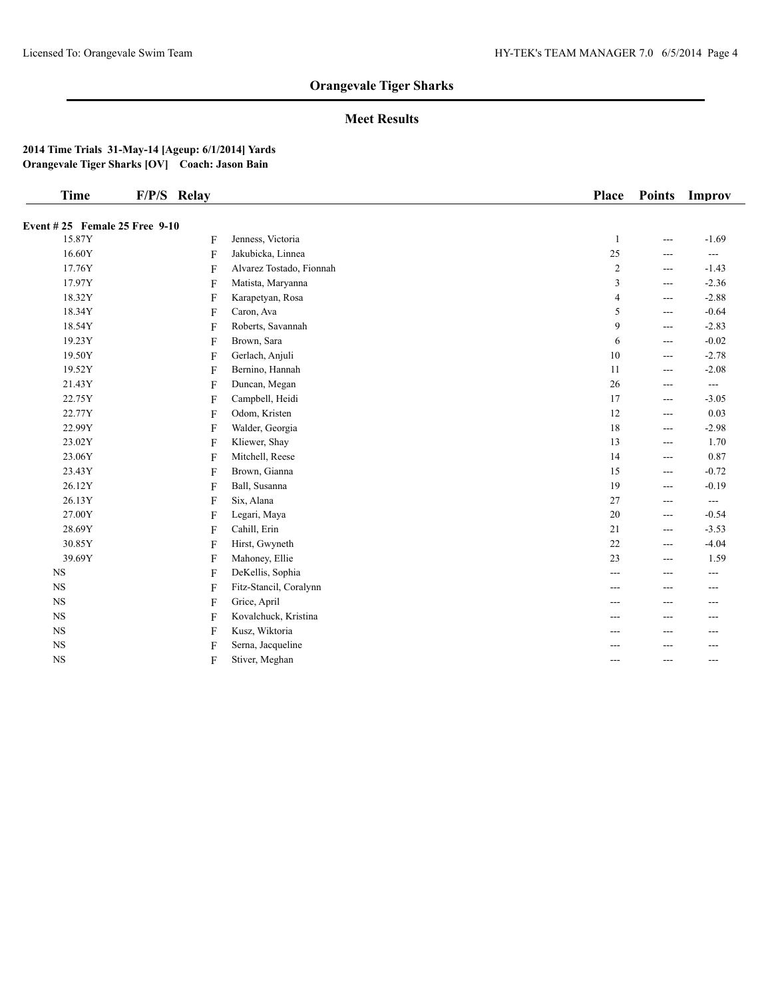## **Meet Results**

| <b>Time</b>                   | F/P/S Relay |                          | Place          | <b>Points</b>                               | Improv        |
|-------------------------------|-------------|--------------------------|----------------|---------------------------------------------|---------------|
| Event #25 Female 25 Free 9-10 |             |                          |                |                                             |               |
| 15.87Y                        | F           | Jenness, Victoria        | $\mathbf{1}$   | $---$                                       | $-1.69$       |
| 16.60Y                        | F           | Jakubicka, Linnea        | 25             | $---$                                       | $---$         |
| 17.76Y                        | F           | Alvarez Tostado, Fionnah | $\overline{2}$ | $---$                                       | $-1.43$       |
| 17.97Y                        | F           | Matista, Maryanna        | 3              | ---                                         | $-2.36$       |
| 18.32Y                        | F           | Karapetyan, Rosa         | 4              | $---$                                       | $-2.88$       |
| 18.34Y                        | F           | Caron, Ava               | 5              | $---$                                       | $-0.64$       |
| 18.54Y                        | F           | Roberts, Savannah        | 9              | $\qquad \qquad -$                           | $-2.83$       |
| 19.23Y                        | F           | Brown, Sara              | 6              | $\qquad \qquad - -$                         | $-0.02$       |
| 19.50Y                        | F           | Gerlach, Anjuli          | $10\,$         | $\qquad \qquad - -$                         | $-2.78$       |
| 19.52Y                        | F           | Bernino, Hannah          | $11\,$         | $---$                                       | $-2.08$       |
| 21.43Y                        | F           | Duncan, Megan            | $26\,$         | $---$                                       | $\frac{1}{2}$ |
| 22.75Y                        | F           | Campbell, Heidi          | 17             | $---$                                       | $-3.05$       |
| 22.77Y                        | F           | Odom, Kristen            | 12             | $- - -$                                     | 0.03          |
| 22.99Y                        | F           | Walder, Georgia          | 18             | $---$                                       | $-2.98$       |
| 23.02Y                        | F           | Kliewer, Shay            | 13             | $\scriptstyle \cdots$ $\scriptstyle \cdots$ | 1.70          |
| 23.06Y                        | F           | Mitchell, Reese          | 14             | $- - -$                                     | 0.87          |
| 23.43Y                        | F           | Brown, Gianna            | 15             | $- - -$                                     | $-0.72$       |
| 26.12Y                        | F           | Ball, Susanna            | 19             | $---$                                       | $-0.19$       |
| 26.13Y                        | F           | Six, Alana               | $27\,$         | $---$                                       | $\frac{1}{2}$ |
| 27.00Y                        | F           | Legari, Maya             | 20             | $---$                                       | $-0.54$       |
| 28.69Y                        | F           | Cahill, Erin             | 21             | $---$                                       | $-3.53$       |
| 30.85Y                        | F           | Hirst, Gwyneth           | $22\,$         | $---$                                       | $-4.04$       |
| 39.69Y                        | F           | Mahoney, Ellie           | 23             | $- - -$                                     | 1.59          |
| <b>NS</b>                     | F           | DeKellis, Sophia         | $---$          | $---$                                       | $---$         |
| <b>NS</b>                     | F           | Fitz-Stancil, Coralynn   | ---            | ---                                         | ---           |
| $_{\rm NS}$                   | F           | Grice, April             | ---            | $- - -$                                     | ---           |
| <b>NS</b>                     | F           | Kovalchuck, Kristina     | ---            | ---                                         | ---           |
| $_{\rm NS}$                   | F           | Kusz, Wiktoria           | ---            | ---                                         | ---           |
| $_{\rm NS}$                   | F           | Serna, Jacqueline        |                |                                             | ---           |
| $_{\rm NS}$                   | F           | Stiver, Meghan           | $---$          | $---$                                       | $---$         |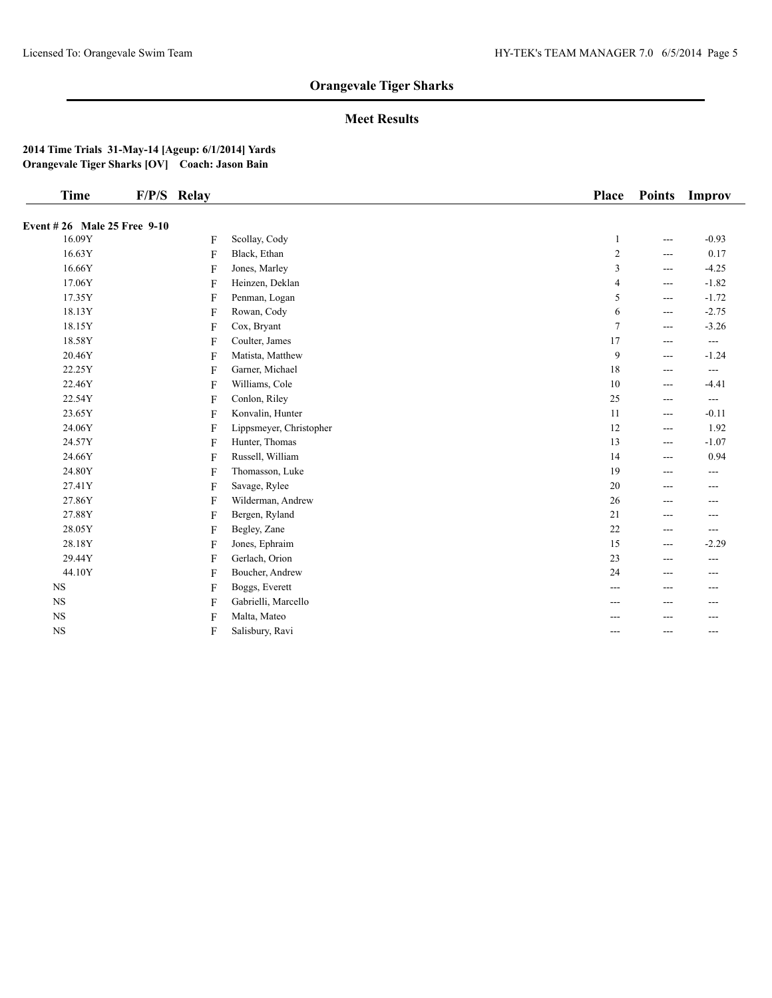## **Meet Results**

| <b>Time</b>                        | F/P/S Relay |                         | <b>Place</b>   | <b>Points</b> | Improv        |
|------------------------------------|-------------|-------------------------|----------------|---------------|---------------|
| <b>Event #26 Male 25 Free 9-10</b> |             |                         |                |               |               |
| 16.09Y                             | F           | Scollay, Cody           | 1              | ---           | $-0.93$       |
| 16.63Y                             | F           | Black, Ethan            | $\sqrt{2}$     | ---           | 0.17          |
| 16.66Y                             | F           | Jones, Marley           | $\mathfrak z$  | ---           | $-4.25$       |
| 17.06Y                             | F           | Heinzen, Deklan         | $\overline{4}$ | $---$         | $-1.82$       |
| 17.35Y                             | F           | Penman, Logan           | 5              | ---           | $-1.72$       |
| 18.13Y                             | F           | Rowan, Cody             | 6              | ---           | $-2.75$       |
| 18.15Y                             | F           | Cox, Bryant             | $\overline{7}$ | ---           | $-3.26$       |
| 18.58Y                             | F           | Coulter, James          | 17             | ---           | $---$         |
| 20.46Y                             | F           | Matista, Matthew        | 9              | ---           | $-1.24$       |
| 22.25Y                             | F           | Garner, Michael         | 18             | ---           | ---           |
| 22.46Y                             | F           | Williams, Cole          | 10             | ---           | $-4.41$       |
| 22.54Y                             | F           | Conlon, Riley           | 25             | $---$         | $\frac{1}{2}$ |
| 23.65Y                             | F           | Konvalin, Hunter        | 11             | ---           | $-0.11$       |
| 24.06Y                             | F           | Lippsmeyer, Christopher | 12             | ---           | 1.92          |
| 24.57Y                             | F           | Hunter, Thomas          | 13             | $---$         | $-1.07$       |
| 24.66Y                             | F           | Russell, William        | 14             | ---           | 0.94          |
| 24.80Y                             | F           | Thomasson, Luke         | 19             | ---           | ---           |
| 27.41Y                             | F           | Savage, Rylee           | $20\,$         | ---           | ---           |
| 27.86Y                             | F           | Wilderman, Andrew       | 26             | ---           | ---           |
| 27.88Y                             | F           | Bergen, Ryland          | 21             | $---$         | ---           |
| 28.05Y                             | F           | Begley, Zane            | 22             | ---           | ---           |
| 28.18Y                             | F           | Jones, Ephraim          | 15             | $---$         | $-2.29$       |
| 29.44Y                             | F           | Gerlach, Orion          | 23             | ---           | ---           |
| 44.10Y                             | F           | Boucher, Andrew         | 24             | $---$         | ---           |
| <b>NS</b>                          | F           | Boggs, Everett          | ---            | ---           | ---           |
| <b>NS</b>                          | F           | Gabrielli, Marcello     |                | ---           |               |
| $_{\rm NS}$                        | F           | Malta, Mateo            |                | ---           | ---           |
| $_{\rm NS}$                        | F           | Salisbury, Ravi         | ---            | ---           | ---           |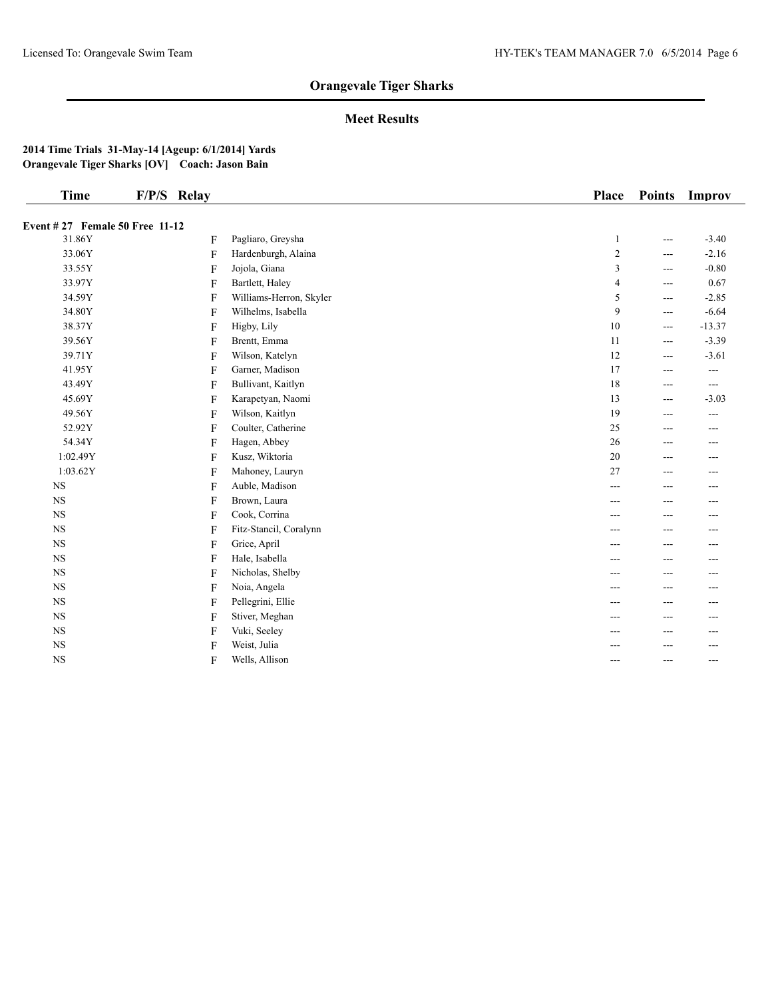## **Meet Results**

| <b>Time</b>                     | F/P/S Relay  |                         | <b>Place</b> | <b>Points</b> | Improv   |
|---------------------------------|--------------|-------------------------|--------------|---------------|----------|
| Event # 27 Female 50 Free 11-12 |              |                         |              |               |          |
| 31.86Y                          | F            | Pagliaro, Greysha       | 1            | ---           | $-3.40$  |
| 33.06Y                          | $\mathbf{F}$ | Hardenburgh, Alaina     | 2            | ---           | $-2.16$  |
| 33.55Y                          | F            | Jojola, Giana           | 3            | ---           | $-0.80$  |
| 33.97Y                          | F            | Bartlett, Haley         | 4            | ---           | 0.67     |
| 34.59Y                          | F            | Williams-Herron, Skyler | 5            | ---           | $-2.85$  |
| 34.80Y                          | F            | Wilhelms, Isabella      | 9            | ---           | $-6.64$  |
| 38.37Y                          | $\mathbf{F}$ | Higby, Lily             | 10           | ---           | $-13.37$ |
| 39.56Y                          | F            | Brentt, Emma            | 11           | $---$         | $-3.39$  |
| 39.71Y                          | F            | Wilson, Katelyn         | 12           | ---           | $-3.61$  |
| 41.95Y                          | F            | Garner, Madison         | 17           | ---           | $---$    |
| 43.49Y                          | F            | Bullivant, Kaitlyn      | 18           | ---           | $\cdots$ |
| 45.69Y                          | F            | Karapetyan, Naomi       | 13           | ---           | $-3.03$  |
| 49.56Y                          | F            | Wilson, Kaitlyn         | 19           | ---           | $---$    |
| 52.92Y                          | F            | Coulter, Catherine      | 25           | ---           | ---      |
| 54.34Y                          | $\mathbf{F}$ | Hagen, Abbey            | 26           | ---           | $---$    |
| 1:02.49Y                        | F            | Kusz, Wiktoria          | 20           | ---           | ---      |
| 1:03.62Y                        | F            | Mahoney, Lauryn         | 27           | ---           | ---      |
| $_{\rm NS}$                     | F            | Auble, Madison          | $---$        | ---           | ---      |
| $_{\rm NS}$                     | F            | Brown, Laura            | ---          | ---           |          |
| <b>NS</b>                       | F            | Cook, Corrina           | ---          | ---           | ---      |
| $_{\rm NS}$                     | F            | Fitz-Stancil, Coralynn  | ---          | ---           | ---      |
| $_{\rm NS}$                     | F            | Grice, April            | ---          | ---           | $- - -$  |
| $_{\rm NS}$                     | F            | Hale, Isabella          | ---          | ---           | ---      |
| <b>NS</b>                       | F            | Nicholas, Shelby        | ---          | ---           | $- - -$  |
| <b>NS</b>                       | F            | Noia, Angela            | ---          | ---           | ---      |
| $_{\rm NS}$                     | F            | Pellegrini, Ellie       | ---          | ---           | ---      |
| $_{\rm NS}$                     | F            | Stiver, Meghan          | ---          | ---           |          |
| <b>NS</b>                       | F            | Vuki, Seeley            | ---          | ---           | ---      |
| $_{\rm NS}$                     | F            | Weist, Julia            | ---          | ---           | $---$    |
| <b>NS</b>                       | F            | Wells, Allison          | ---          | ---           | $---$    |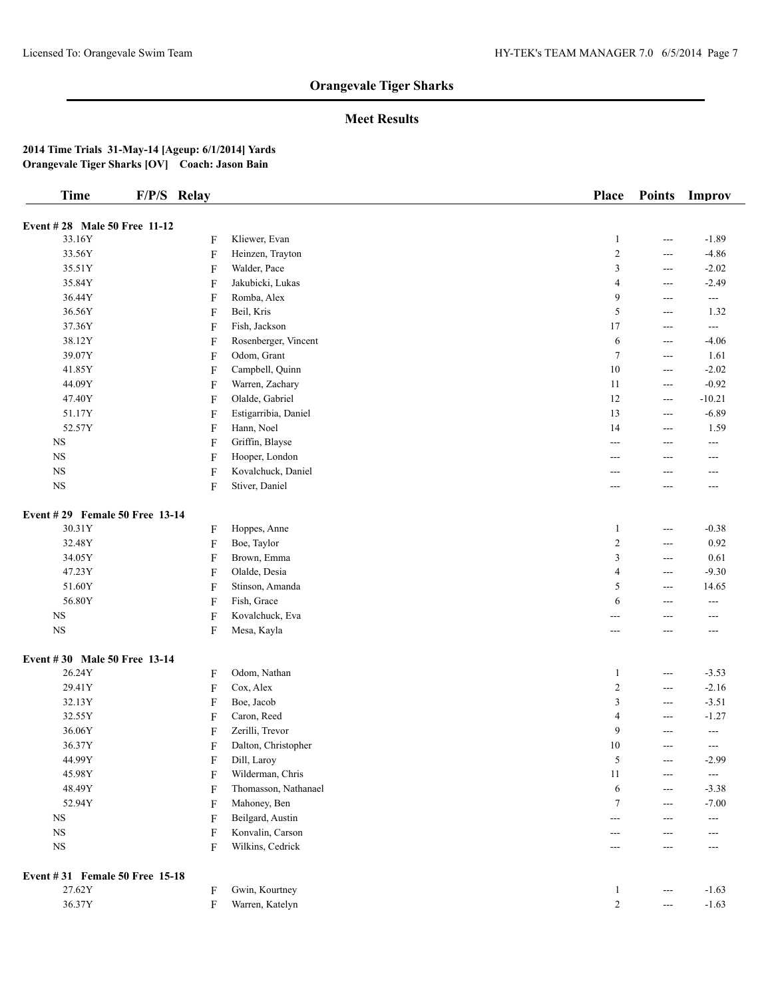## **Meet Results**

| <b>Time</b>                    | F/P/S Relay               |                      | Place          | <b>Points</b>          | Improv                 |
|--------------------------------|---------------------------|----------------------|----------------|------------------------|------------------------|
|                                |                           |                      |                |                        |                        |
| Event #28 Male 50 Free 11-12   |                           |                      |                |                        |                        |
| 33.16Y                         | F                         | Kliewer, Evan        | $\mathbf{1}$   | $---$                  | $-1.89$                |
| 33.56Y                         | F                         | Heinzen, Trayton     | $\sqrt{2}$     | $\qquad \qquad -$      | $-4.86$                |
| 35.51Y                         | F                         | Walder, Pace         | 3              | $\cdots$               | $-2.02$                |
| 35.84Y                         | F                         | Jakubicki, Lukas     | 4              | $---$                  | $-2.49$                |
| 36.44Y                         | F                         | Romba, Alex          | 9              | $---$                  | $\qquad \qquad - -$    |
| 36.56Y                         | $\boldsymbol{\mathrm{F}}$ | Beil, Kris           | 5              | $---$                  | 1.32                   |
| 37.36Y                         | F                         | Fish, Jackson        | 17             | $\qquad \qquad \cdots$ | $\qquad \qquad \cdots$ |
| 38.12Y                         | F                         | Rosenberger, Vincent | 6              | $\qquad \qquad \cdots$ | $-4.06$                |
| 39.07Y                         | F                         | Odom, Grant          | $\tau$         | $\cdots$               | 1.61                   |
| 41.85Y                         | F                         | Campbell, Quinn      | 10             | $\qquad \qquad \cdots$ | $-2.02$                |
| 44.09Y                         | F                         | Warren, Zachary      | 11             | $\qquad \qquad -$      | $-0.92$                |
| 47.40Y                         | F                         | Olalde, Gabriel      | 12             | $\cdots$               | $-10.21$               |
| 51.17Y                         | F                         | Estigarribia, Daniel | 13             | $\qquad \qquad \cdots$ | $-6.89$                |
| 52.57Y                         | F                         | Hann, Noel           | 14             | $\qquad \qquad -$      | 1.59                   |
| $_{\rm NS}$                    | F                         | Griffin, Blayse      | ---            | $---$                  | $\sim$ $\sim$          |
| $_{\rm NS}$                    | F                         | Hooper, London       | ---            | ---                    | ---                    |
| $_{\rm NS}$                    | F                         | Kovalchuck, Daniel   | ---            | ---                    | ---                    |
| $_{\rm NS}$                    | F                         | Stiver, Daniel       | ---            | ---                    | ---                    |
| Event #29 Female 50 Free 13-14 |                           |                      |                |                        |                        |
| 30.31Y                         | F                         | Hoppes, Anne         | $\mathbf{1}$   | ---                    | $-0.38$                |
| 32.48Y                         | $\boldsymbol{\mathrm{F}}$ | Boe, Taylor          | $\sqrt{2}$     | $\qquad \qquad -$      | 0.92                   |
| 34.05Y                         | $\boldsymbol{\mathrm{F}}$ | Brown, Emma          | 3              | $---$                  | 0.61                   |
| 47.23Y                         | F                         | Olalde, Desia        | 4              | $\qquad \qquad -$      | $-9.30$                |
| 51.60Y                         | F                         | Stinson, Amanda      | 5              | $\qquad \qquad -$      | 14.65                  |
| 56.80Y                         | F                         | Fish, Grace          | 6              | $---$                  | $\overline{a}$         |
| $_{\rm NS}$                    | F                         | Kovalchuck, Eva      | ---            | ---                    | ---                    |
| $_{\rm NS}$                    | F                         | Mesa, Kayla          | ---            |                        | ---                    |
| Event #30 Male 50 Free 13-14   |                           |                      |                |                        |                        |
| 26.24Y                         | F                         | Odom, Nathan         | $\mathbf{1}$   | $\cdots$               | $-3.53$                |
| 29.41Y                         | $\boldsymbol{\mathrm{F}}$ | Cox, Alex            | $\overline{c}$ | $\qquad \qquad \cdots$ | $-2.16$                |
| 32.13Y                         | F                         | Boe, Jacob           | 3              | $\qquad \qquad -$      | $-3.51$                |
| 32.55Y                         | F                         | Caron, Reed          | 4              | ---                    | $-1.27$                |
| 36.06Y                         | F                         | Zerilli, Trevor      | 9              | ---                    | $\sim$ $\sim$          |
| 36.37Y                         | F                         | Dalton, Christopher  | 10             | ---                    | $\qquad \qquad -$      |
| 44.99Y                         | F                         | Dill, Laroy          | 5              | $\qquad \qquad -$      | $-2.99$                |
| 45.98Y                         | F                         | Wilderman, Chris     | 11             | $\qquad \qquad -$      | $\qquad \qquad - -$    |
| 48.49Y                         | F                         | Thomasson, Nathanael | 6              | $\qquad \qquad -$      | $-3.38$                |
| 52.94Y                         | F                         | Mahoney, Ben         | $\tau$         | $---$                  | $-7.00$                |
| $_{\rm NS}$                    | F                         | Beilgard, Austin     | ---            | ---                    | $\sim$ $\sim$          |
| $_{\rm NS}$                    | F                         | Konvalin, Carson     |                |                        |                        |
| $_{\rm NS}$                    | F                         | Wilkins, Cedrick     | ---<br>---     | $---$                  | ---<br>$\overline{a}$  |
|                                |                           |                      |                |                        |                        |
| Event #31 Female 50 Free 15-18 |                           |                      |                |                        |                        |
| 27.62Y                         | F                         | Gwin, Kourtney       | $\mathbf{1}$   | $---$                  | $-1.63$                |
| 36.37Y                         | F                         | Warren, Katelyn      | $\sqrt{2}$     | $\scriptstyle\cdots$   | $-1.63$                |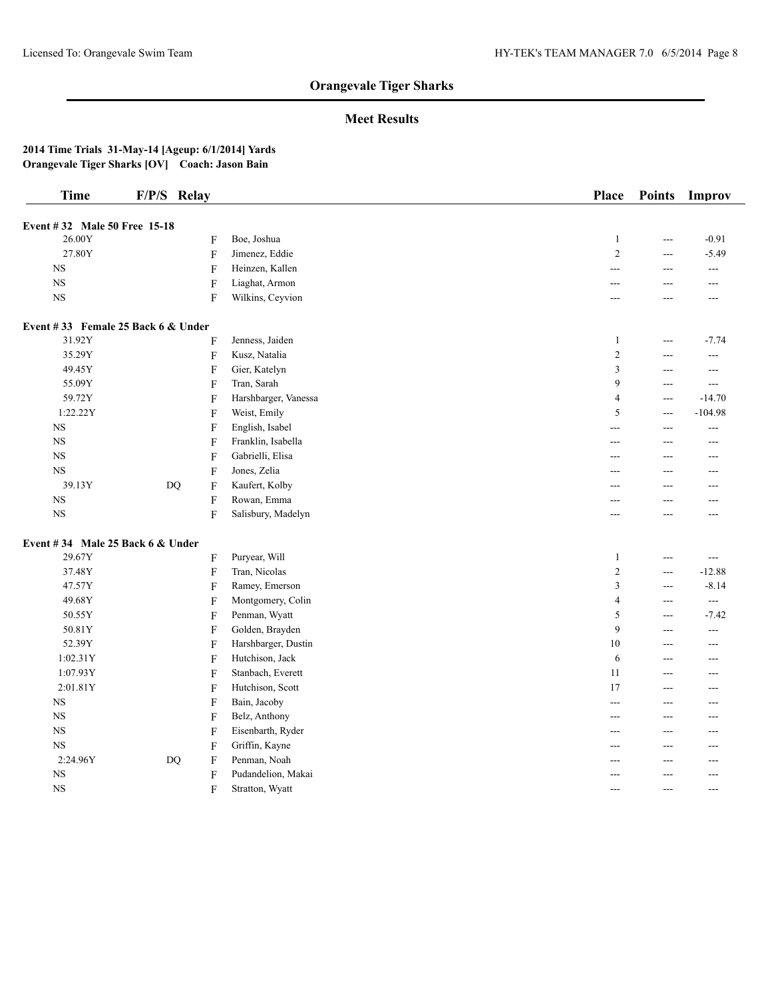## **Meet Results**

| <b>Time</b>                        | F/P/S Relay |                           |                      | Place          | <b>Points</b>  | Improv                   |
|------------------------------------|-------------|---------------------------|----------------------|----------------|----------------|--------------------------|
| Event #32 Male 50 Free 15-18       |             |                           |                      |                |                |                          |
| 26.00Y                             |             | F                         | Boe, Joshua          | $\mathbf{1}$   | ---            | $-0.91$                  |
| 27.80Y                             |             | $\overline{F}$            | Jimenez, Eddie       | $\overline{c}$ | ---            | $-5.49$                  |
| $_{\rm NS}$                        |             | $\mathbf{F}$              | Heinzen, Kallen      | ---            | $\overline{a}$ | $\overline{a}$           |
| $_{\rm NS}$                        |             | F                         | Liaghat, Armon       | ---            | ---            | $---$                    |
| <b>NS</b>                          |             | $\mathbf{F}$              | Wilkins, Ceyvion     | ---            | ---            | ---                      |
| Event #33 Female 25 Back 6 & Under |             |                           |                      |                |                |                          |
| 31.92Y                             |             | $\overline{F}$            | Jenness, Jaiden      | $\mathbf{1}$   | ---            | $-7.74$                  |
| 35.29Y                             |             | $\boldsymbol{\mathrm{F}}$ | Kusz, Natalia        | $\overline{c}$ | ---            | ---                      |
| 49.45Y                             |             | $\overline{F}$            | Gier, Katelyn        | 3              | ---            | $---$                    |
| 55.09Y                             |             | F                         | Tran, Sarah          | 9              | $---$          | $---$                    |
| 59.72Y                             |             | F                         | Harshbarger, Vanessa | 4              | $---$          | $-14.70$                 |
| 1:22.22Y                           |             | F                         | Weist, Emily         | 5              | $---$          | $-104.98$                |
| <b>NS</b>                          |             | F                         | English, Isabel      | ---            | ---            | ---                      |
| $_{\rm NS}$                        |             | F                         | Franklin, Isabella   | ---            | ---            | ---                      |
| $_{\rm NS}$                        |             | $\overline{F}$            | Gabrielli, Elisa     | ---            | ---            | $---$                    |
| <b>NS</b>                          |             | $\overline{F}$            | Jones, Zelia         | ---            | ---            | $---$                    |
| 39.13Y                             | <b>DQ</b>   | F                         | Kaufert, Kolby       | ---            | ---            | $---$                    |
| $_{\rm NS}$                        |             | F                         | Rowan, Emma          | ---            | ---            | ---                      |
| $_{\rm NS}$                        |             | $\overline{F}$            | Salisbury, Madelyn   | ---            | ---            | ---                      |
| Event #34 Male 25 Back 6 & Under   |             |                           |                      |                |                |                          |
| 29.67Y                             |             | F                         | Puryear, Will        | $\mathbf{1}$   | ---            | $\overline{a}$           |
| 37.48Y                             |             | $\overline{F}$            | Tran, Nicolas        | $\overline{c}$ | ---            | $-12.88$                 |
| 47.57Y                             |             | $\overline{F}$            | Ramey, Emerson       | 3              | ---            | $-8.14$                  |
| 49.68Y                             |             | F                         | Montgomery, Colin    | $\overline{4}$ | $\overline{a}$ | $\sim$                   |
| 50.55Y                             |             | F                         | Penman, Wyatt        | 5              | $---$          | $-7.42$                  |
| 50.81Y                             |             | $\mathbf{F}$              | Golden, Brayden      | 9              | $---$          | $\overline{\phantom{a}}$ |
| 52.39Y                             |             | F                         | Harshbarger, Dustin  | 10             | ---            | ---                      |
| 1:02.31Y                           |             | $\boldsymbol{\mathrm{F}}$ | Hutchison, Jack      | 6              | ---            | ---                      |
| 1:07.93Y                           |             | $\overline{F}$            | Stanbach, Everett    | 11             | ---            | ---                      |
| 2:01.81Y                           |             | $\boldsymbol{\mathrm{F}}$ | Hutchison, Scott     | 17             | $---$          | $---$                    |
| <b>NS</b>                          |             | F                         | Bain, Jacoby         | ---            | ---            | ---                      |
| $_{\rm NS}$                        |             | F                         | Belz, Anthony        | ---            | ---            | ---                      |
| $_{\rm NS}$                        |             | F                         | Eisenbarth, Ryder    | ---            | ---            | ---                      |
| <b>NS</b>                          |             | F                         | Griffin, Kayne       | ---            | ---            | ---                      |
| 2:24.96Y                           | <b>DQ</b>   | F                         | Penman, Noah         | ---            | ---            | ---                      |
| $_{\rm NS}$                        |             | F                         | Pudandelion, Makai   | ---            | ---            | ---                      |
| $_{\rm NS}$                        |             | F                         | Stratton, Wyatt      | ---            | $---$          | $---$                    |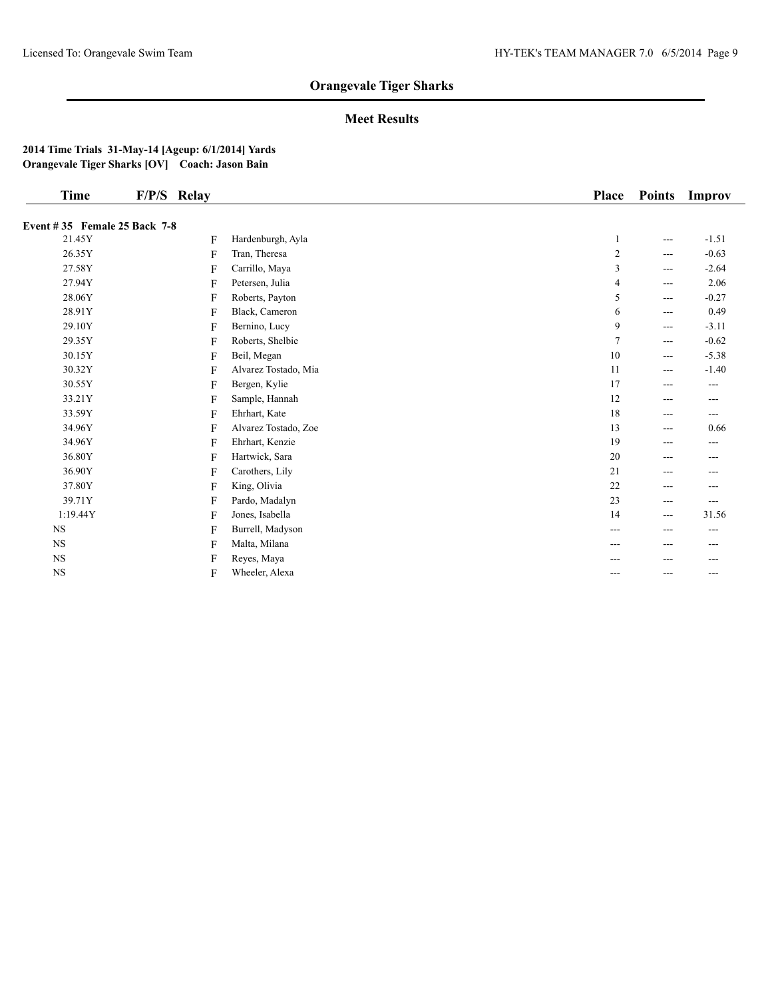## **Meet Results**

| Time                                | F/P/S Relay |                      | <b>Place</b> | <b>Points</b>     | Improv   |
|-------------------------------------|-------------|----------------------|--------------|-------------------|----------|
| <b>Event #35 Female 25 Back 7-8</b> |             |                      |              |                   |          |
| 21.45Y                              | F           | Hardenburgh, Ayla    |              | ---               | $-1.51$  |
| 26.35Y                              | F           | Tran, Theresa        | 2            | ---               | $-0.63$  |
| 27.58Y                              | F           | Carrillo, Maya       | 3            | ---               | $-2.64$  |
| 27.94Y                              | F           | Petersen, Julia      | 4            | ---               | 2.06     |
| 28.06Y                              | F           | Roberts, Payton      | 5            | ---               | $-0.27$  |
| 28.91Y                              | F           | Black, Cameron       | 6            | ---               | 0.49     |
| 29.10Y                              | F           | Bernino, Lucy        | 9            | ---               | $-3.11$  |
| 29.35Y                              | F           | Roberts, Shelbie     | 7            | ---               | $-0.62$  |
| 30.15Y                              | F           | Beil, Megan          | 10           | ---               | $-5.38$  |
| 30.32Y                              | F           | Alvarez Tostado, Mia | 11           | $---$             | $-1.40$  |
| 30.55Y                              | F           | Bergen, Kylie        | 17           | ---               | $\cdots$ |
| 33.21Y                              | F           | Sample, Hannah       | 12           | ---               | ---      |
| 33.59Y                              | F           | Ehrhart, Kate        | 18           | ---               | ---      |
| 34.96Y                              | F           | Alvarez Tostado, Zoe | 13           | ---               | 0.66     |
| 34.96Y                              | F           | Ehrhart, Kenzie      | 19           | ---               | ---      |
| 36.80Y                              | F           | Hartwick, Sara       | 20           | ---               | ---      |
| 36.90Y                              | F           | Carothers, Lily      | 21           | ---               | ---      |
| 37.80Y                              | F           | King, Olivia         | 22           | ---               | ---      |
| 39.71Y                              | F           | Pardo, Madalyn       | 23           | ---               | $---$    |
| 1:19.44Y                            | F           | Jones, Isabella      | 14           | $\qquad \qquad -$ | 31.56    |
| <b>NS</b>                           | F           | Burrell, Madyson     | ---          | ---               | $---$    |
| $_{\rm NS}$                         | F           | Malta, Milana        | ---          | ---               | ---      |
| $_{\rm NS}$                         | F           | Reyes, Maya          |              | ---               | ---      |
| $_{\rm NS}$                         | F           | Wheeler, Alexa       | ---          | ---               | ---      |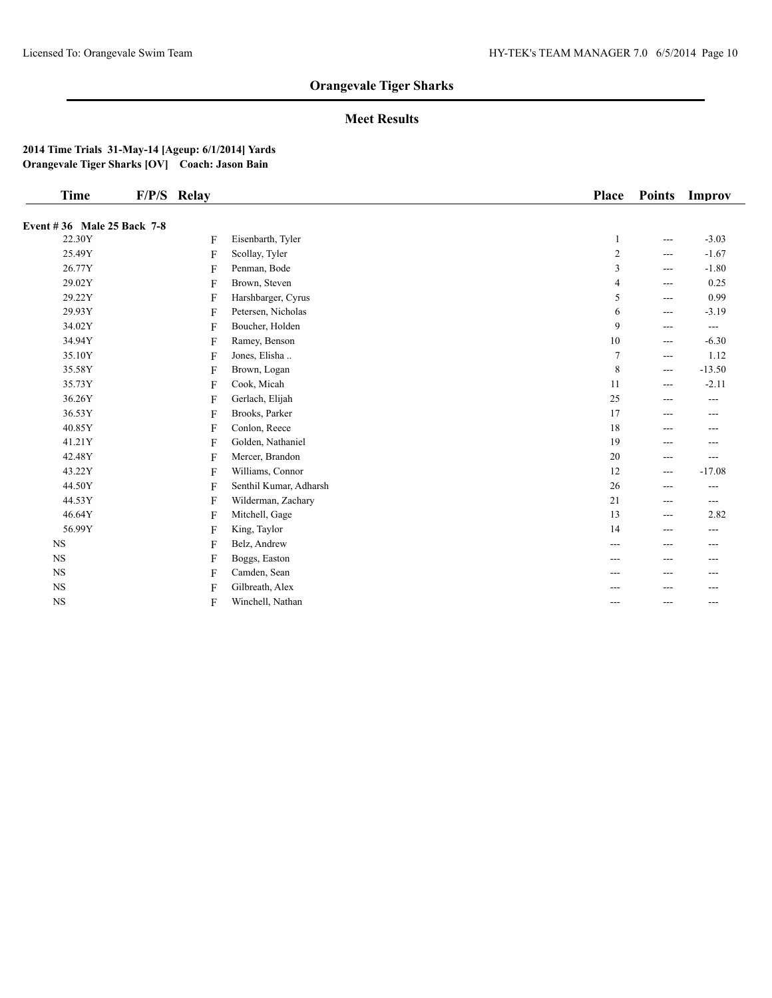## **Meet Results**

| <b>Time</b>                | F/P/S Relay |                        | <b>Place</b>   | <b>Points</b>  | Improv   |
|----------------------------|-------------|------------------------|----------------|----------------|----------|
|                            |             |                        |                |                |          |
| Event #36 Male 25 Back 7-8 |             |                        |                |                |          |
| 22.30Y                     | F           | Eisenbarth, Tyler      | 1              | ---            | $-3.03$  |
| 25.49Y                     | F           | Scollay, Tyler         | $\sqrt{2}$     | ---            | $-1.67$  |
| 26.77Y                     | F           | Penman, Bode           | $\mathfrak{Z}$ | $---$          | $-1.80$  |
| 29.02Y                     | F           | Brown, Steven          | $\overline{4}$ | ---            | 0.25     |
| 29.22Y                     | F           | Harshbarger, Cyrus     | $\sqrt{5}$     | ---            | 0.99     |
| 29.93Y                     | F           | Petersen, Nicholas     | 6              | $\overline{a}$ | $-3.19$  |
| 34.02Y                     | F           | Boucher, Holden        | 9              | ---            | ---      |
| 34.94Y                     | F           | Ramey, Benson          | $10\,$         | ---            | $-6.30$  |
| 35.10Y                     | F           | Jones, Elisha          | $\overline{7}$ | $---$          | 1.12     |
| 35.58Y                     | F           | Brown, Logan           | $\,8\,$        | ---            | $-13.50$ |
| 35.73Y                     | F           | Cook, Micah            | 11             | ---            | $-2.11$  |
| 36.26Y                     | F           | Gerlach, Elijah        | $25\,$         | ---            | ---      |
| 36.53Y                     | F           | Brooks, Parker         | 17             | ---            | ---      |
| 40.85Y                     | F           | Conlon, Reece          | 18             | ---            |          |
| 41.21Y                     | F           | Golden, Nathaniel      | 19             | ---            | ---      |
| 42.48Y                     | F           | Mercer, Brandon        | 20             | ---            | ---      |
| 43.22Y                     | F           | Williams, Connor       | 12             | ---            | $-17.08$ |
| 44.50Y                     | F           | Senthil Kumar, Adharsh | 26             | ---            | ---      |
| 44.53Y                     | F           | Wilderman, Zachary     | 21             | ---            | $---$    |
| 46.64Y                     | F           | Mitchell, Gage         | 13             | $---$          | 2.82     |
| 56.99Y                     | F           | King, Taylor           | 14             | ---            | ---      |
| <b>NS</b>                  | F           | Belz, Andrew           | ---            | ---            | ---      |
| <b>NS</b>                  | F           | Boggs, Easton          | ---            | ---            | ---      |
| <b>NS</b>                  | F           | Camden, Sean           |                | ---            | ---      |
| <b>NS</b>                  | F           | Gilbreath, Alex        |                | ---            | ---      |
| <b>NS</b>                  | F           | Winchell, Nathan       | ---            | ---            | ---      |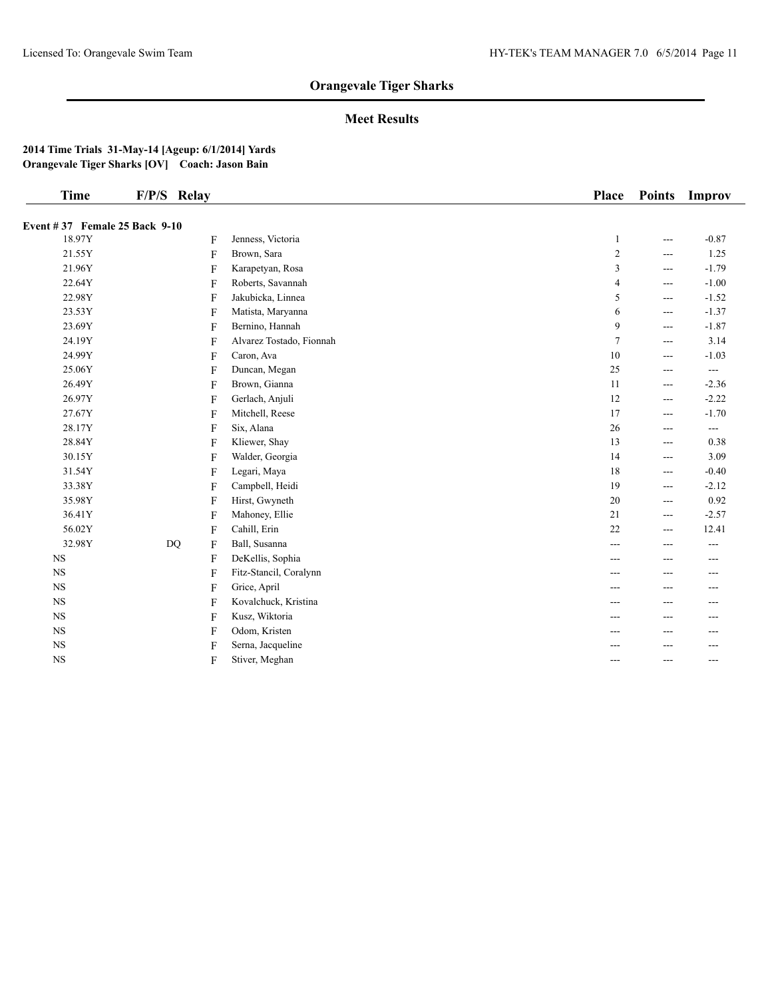## **Meet Results**

| <b>Time</b>                   | F/P/S Relay |   |                          | Place                   | <b>Points</b>                               | Improv              |
|-------------------------------|-------------|---|--------------------------|-------------------------|---------------------------------------------|---------------------|
| Event #37 Female 25 Back 9-10 |             |   |                          |                         |                                             |                     |
| 18.97Y                        |             | F | Jenness, Victoria        | $\mathbf{1}$            | $---$                                       | $-0.87$             |
| 21.55Y                        |             | F | Brown, Sara              | $\overline{\mathbf{c}}$ | $---$                                       | 1.25                |
| 21.96Y                        |             | F | Karapetyan, Rosa         | 3                       | $---$                                       | $-1.79$             |
| 22.64Y                        |             | F | Roberts, Savannah        | $\overline{4}$          | ---                                         | $-1.00$             |
| 22.98Y                        |             | F | Jakubicka, Linnea        | 5                       | ---                                         | $-1.52$             |
| 23.53Y                        |             | F | Matista, Maryanna        | 6                       | $---$                                       | $-1.37$             |
| 23.69Y                        |             | F | Bernino, Hannah          | 9                       | ---                                         | $-1.87$             |
| 24.19Y                        |             | F | Alvarez Tostado, Fionnah | $\overline{7}$          | ---                                         | 3.14                |
| 24.99Y                        |             | F | Caron, Ava               | $10\,$                  | $---$                                       | $-1.03$             |
| 25.06Y                        |             | F | Duncan, Megan            | 25                      | $---$                                       | ---                 |
| 26.49Y                        |             | F | Brown, Gianna            | 11                      | ---                                         | $-2.36$             |
| 26.97Y                        |             | F | Gerlach, Anjuli          | 12                      | ---                                         | $-2.22$             |
| 27.67Y                        |             | F | Mitchell, Reese          | 17                      | $---$                                       | $-1.70$             |
| 28.17Y                        |             | F | Six, Alana               | $26\,$                  | $---$                                       | $\qquad \qquad - -$ |
| 28.84Y                        |             | F | Kliewer, Shay            | 13                      | $\scriptstyle \cdots$ $\scriptstyle \cdots$ | 0.38                |
| 30.15Y                        |             | F | Walder, Georgia          | 14                      | $---$                                       | 3.09                |
| 31.54Y                        |             | F | Legari, Maya             | 18                      | ---                                         | $-0.40$             |
| 33.38Y                        |             | F | Campbell, Heidi          | 19                      | $\qquad \qquad - -$                         | $-2.12$             |
| 35.98Y                        |             | F | Hirst, Gwyneth           | 20                      | ---                                         | 0.92                |
| 36.41Y                        |             | F | Mahoney, Ellie           | 21                      | $---$                                       | $-2.57$             |
| 56.02Y                        |             | F | Cahill, Erin             | $22\,$                  | $\qquad \qquad - -$                         | 12.41               |
| 32.98Y                        | DQ          | F | Ball, Susanna            | $---$                   | $---$                                       | $---$               |
| <b>NS</b>                     |             | F | DeKellis, Sophia         | ---                     | ---                                         | ---                 |
| $_{\rm NS}$                   |             | F | Fitz-Stancil, Coralynn   | $---$                   | $---$                                       | $---$               |
| <b>NS</b>                     |             | F | Grice, April             | ---                     | $---$                                       | ---                 |
| <b>NS</b>                     |             | F | Kovalchuck, Kristina     | ---                     | ---                                         |                     |
| $_{\rm NS}$                   |             | F | Kusz, Wiktoria           | ---                     | ---                                         | ---                 |
| <b>NS</b>                     |             | F | Odom, Kristen            | ---                     | ---                                         | ---                 |
| $_{\rm NS}$                   |             | F | Serna, Jacqueline        | ---                     |                                             | ---                 |
| $_{\rm NS}$                   |             | F | Stiver, Meghan           | $---$                   | $---$                                       | $---$               |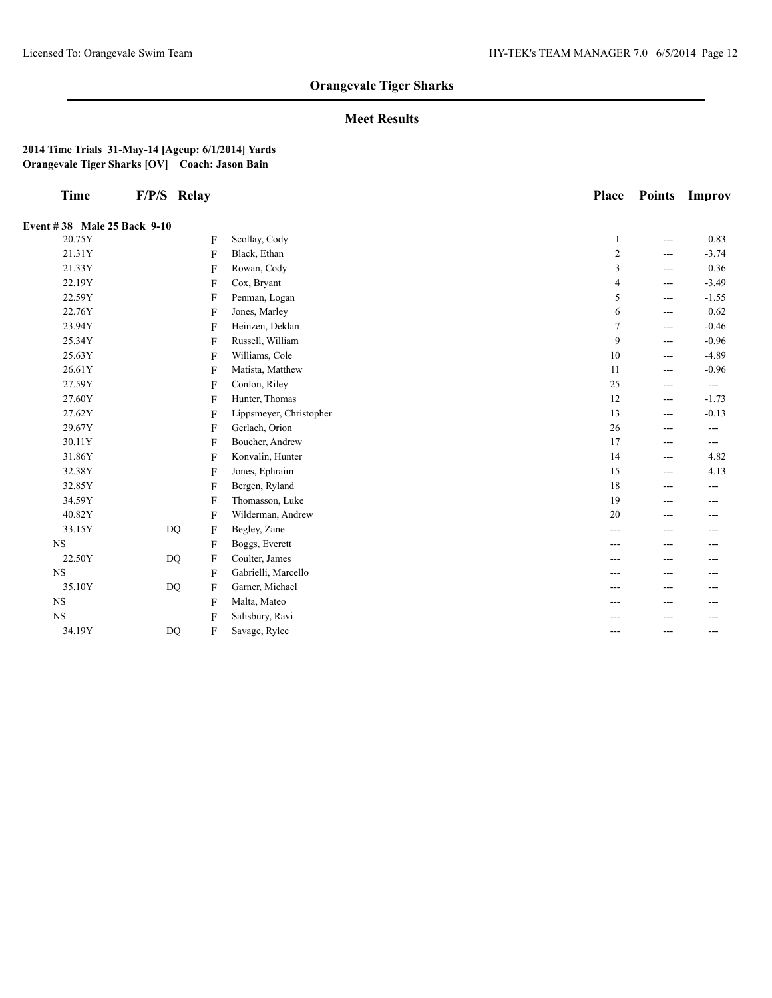## **Meet Results**

| <b>Time</b>                 | F/P/S Relay        |                         | <b>Place</b> | <b>Points</b>  | Improv   |
|-----------------------------|--------------------|-------------------------|--------------|----------------|----------|
| Event #38 Male 25 Back 9-10 |                    |                         |              |                |          |
| 20.75Y                      | F                  | Scollay, Cody           | 1            | ---            | 0.83     |
| 21.31Y                      | F                  | Black, Ethan            | 2            | $---$          | $-3.74$  |
| 21.33Y                      | $\mathbf{F}$       | Rowan, Cody             | 3            | ---            | 0.36     |
| 22.19Y                      | F                  | Cox, Bryant             | 4            | ---            | $-3.49$  |
| 22.59Y                      | F                  | Penman, Logan           | 5            | ---            | $-1.55$  |
| 22.76Y                      | F                  | Jones, Marley           | 6            | ---            | 0.62     |
| 23.94Y                      | F                  | Heinzen, Deklan         | 7            | $---$          | $-0.46$  |
| 25.34Y                      | F                  | Russell, William        | 9            | ---            | $-0.96$  |
| 25.63Y                      | $\mathbf{F}$       | Williams, Cole          | 10           | ---            | $-4.89$  |
| 26.61Y                      | F                  | Matista, Matthew        | 11           | ---            | $-0.96$  |
| 27.59Y                      | F                  | Conlon, Riley           | 25           | ---            | $\cdots$ |
| 27.60Y                      | F                  | Hunter, Thomas          | 12           | $---$          | $-1.73$  |
| 27.62Y                      | F                  | Lippsmeyer, Christopher | 13           | ---            | $-0.13$  |
| 29.67Y                      | F                  | Gerlach, Orion          | 26           | ---            | $---$    |
| 30.11Y                      | F                  | Boucher, Andrew         | 17           | $\overline{a}$ | $\cdots$ |
| 31.86Y                      | F                  | Konvalin, Hunter        | 14           | $---$          | 4.82     |
| 32.38Y                      | F                  | Jones, Ephraim          | 15           | ---            | 4.13     |
| 32.85Y                      | F                  | Bergen, Ryland          | 18           | ---            | ---      |
| 34.59Y                      | $\mathbf{F}$       | Thomasson, Luke         | 19           | ---            | $---$    |
| 40.82Y                      | F                  | Wilderman, Andrew       | 20           | ---            | $---$    |
| 33.15Y                      | DQ<br>$\mathbf{F}$ | Begley, Zane            | ---          | ---            | ---      |
| $_{\rm NS}$                 | F                  | Boggs, Everett          | ---          | ---            | ---      |
| 22.50Y                      | $DQ$<br>F          | Coulter, James          | ---          | ---            | ---      |
| $_{\rm NS}$                 | F                  | Gabrielli, Marcello     | ---          | ---            | ---      |
| 35.10Y                      | $DQ$<br>F          | Garner, Michael         | ---          | ---            | $---$    |
| <b>NS</b>                   | F                  | Malta, Mateo            | ---          | ---            |          |
| <b>NS</b>                   | F                  | Salisbury, Ravi         |              |                |          |
| 34.19Y                      | $DQ$<br>F          | Savage, Rylee           | ---          | $---$          | $---$    |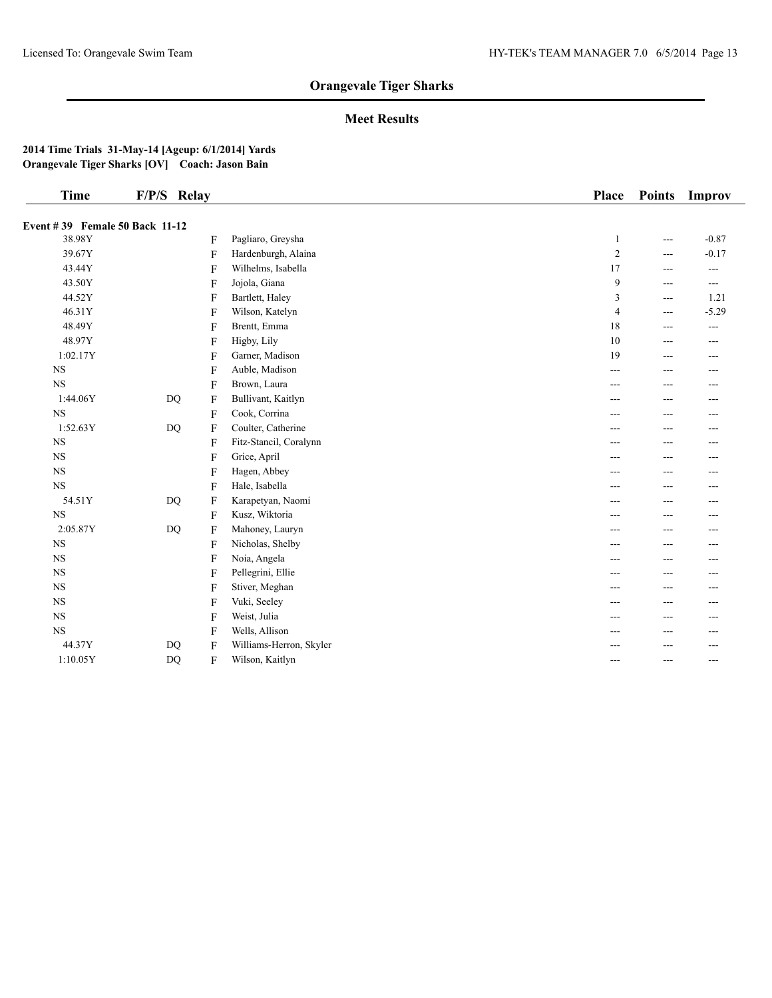## **Meet Results**

| <b>Time</b>                    | F/P/S Relay               |                         | Place          | <b>Points</b>  | Improv  |
|--------------------------------|---------------------------|-------------------------|----------------|----------------|---------|
| Event #39 Female 50 Back 11-12 |                           |                         |                |                |         |
| 38.98Y                         | F                         | Pagliaro, Greysha       | $\mathbf{1}$   | $\overline{a}$ | $-0.87$ |
| 39.67Y                         | F                         | Hardenburgh, Alaina     | $\overline{2}$ | $---$          | $-0.17$ |
| 43.44Y                         | F                         | Wilhelms, Isabella      | 17             | $---$          | $---$   |
| 43.50Y                         | $\overline{F}$            | Jojola, Giana           | 9              | $---$          | $---$   |
| 44.52Y                         | F                         | Bartlett, Haley         | 3              | $---$          | 1.21    |
| 46.31Y                         | F                         | Wilson, Katelyn         | $\overline{4}$ | $---$          | $-5.29$ |
| 48.49Y                         | F                         | Brentt, Emma            | 18             | ---            | $---$   |
| 48.97Y                         | $\overline{F}$            | Higby, Lily             | 10             | ---            | ---     |
| 1:02.17Y                       | F                         | Garner, Madison         | 19             | $---$          | ---     |
| $_{\rm NS}$                    | $\overline{F}$            | Auble, Madison          | $---$          | $---$          | $---$   |
| <b>NS</b>                      | $\overline{F}$            | Brown, Laura            | ---            | $---$          | $---$   |
| 1:44.06Y                       | <b>DQ</b><br>F            | Bullivant, Kaitlyn      | ---            | ---            | ---     |
| $_{\rm NS}$                    | F                         | Cook, Corrina           | ---            | ---            | ---     |
| 1:52.63Y                       | DQ<br>F                   | Coulter, Catherine      | ---            | $---$          | $---$   |
| <b>NS</b>                      | $\overline{F}$            | Fitz-Stancil, Coralynn  | ---            | ---            | $---$   |
| $_{\rm NS}$                    | F                         | Grice, April            | ---            | ---            | $- - -$ |
| $_{\rm NS}$                    | F                         | Hagen, Abbey            | ---            | $---$          | $- - -$ |
| <b>NS</b>                      | $\mathbf{F}$              | Hale, Isabella          | ---            | ---            | ---     |
| 54.51Y                         | <b>DQ</b><br>F            | Karapetyan, Naomi       | ---            | ---            | ---     |
| $_{\rm NS}$                    | F                         | Kusz, Wiktoria          | ---            | ---            | ---     |
| 2:05.87Y                       | DQ<br>F                   | Mahoney, Lauryn         | ---            | ---            | ---     |
| $_{\rm NS}$                    | F                         | Nicholas, Shelby        | ---            | $---$          | $---$   |
| $_{\rm NS}$                    | F                         | Noia, Angela            | ---            | $---$          | $- - -$ |
| <b>NS</b>                      | $\boldsymbol{\mathrm{F}}$ | Pellegrini, Ellie       | ---            | ---            | ---     |
| $_{\rm NS}$                    | F                         | Stiver, Meghan          | $---$          | $---$          | $---$   |
| $_{\rm NS}$                    | F                         | Vuki, Seeley            | ---            | ---            | ---     |
| <b>NS</b>                      | F                         | Weist, Julia            | ---            | $---$          | $---$   |
| <b>NS</b>                      | F                         | Wells, Allison          | ---            | ---            | ---     |
| 44.37Y                         | DQ<br>F                   | Williams-Herron, Skyler |                |                |         |
| 1:10.05Y                       | DQ<br>F                   | Wilson, Kaitlyn         | ---            | $---$          | $---$   |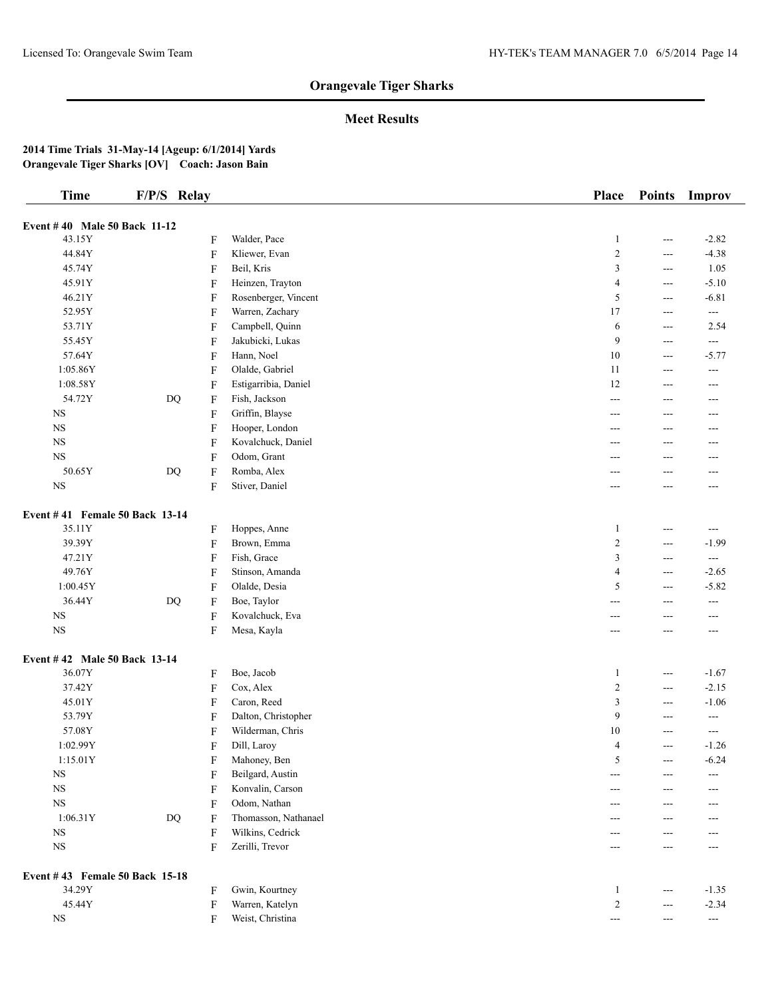## **Meet Results**

| <b>Time</b>                    | F/P/S Relay            |                           |                                | Place            | <b>Points</b>         | Improv                   |
|--------------------------------|------------------------|---------------------------|--------------------------------|------------------|-----------------------|--------------------------|
| Event #40 Male 50 Back 11-12   |                        |                           |                                |                  |                       |                          |
| 43.15Y                         |                        | F                         | Walder, Pace                   | $\mathbf{1}$     | $\scriptstyle \cdots$ | $-2.82$                  |
| 44.84Y                         |                        | F                         | Kliewer, Evan                  | $\sqrt{2}$       | $\qquad \qquad -$     | $-4.38$                  |
| 45.74Y                         |                        | F                         | Beil, Kris                     | 3                | $\cdots$              | 1.05                     |
| 45.91Y                         |                        | F                         | Heinzen, Trayton               | 4                | $---$                 | $-5.10$                  |
| 46.21Y                         |                        | F                         | Rosenberger, Vincent           | 5                |                       | $-6.81$                  |
| 52.95Y                         |                        |                           | Warren, Zachary                | 17               | ---<br>$\cdots$       | $\overline{a}$           |
|                                |                        | F                         | Campbell, Quinn                | 6                |                       | 2.54                     |
| 53.71Y                         |                        | F                         |                                | 9                | $\cdots$              |                          |
| 55.45Y<br>57.64Y               |                        | F                         | Jakubicki, Lukas<br>Hann, Noel | 10               | $\qquad \qquad -$     | $\sim$ $\sim$<br>$-5.77$ |
| 1:05.86Y                       |                        | $\boldsymbol{\mathrm{F}}$ | Olalde, Gabriel                | 11               | $\cdots$              |                          |
|                                |                        | F                         |                                | 12               | $\scriptstyle \cdots$ | $\sim$ $\sim$            |
| 1:08.58Y                       |                        | F                         | Estigarribia, Daniel           |                  | $\qquad \qquad -$     | ---                      |
| 54.72Y                         | $\mathbf{D}\mathbf{Q}$ | $\boldsymbol{\mathrm{F}}$ | Fish, Jackson                  | ---              | $---$                 | $---$                    |
| $_{\rm NS}$                    |                        | F                         | Griffin, Blayse                | ---              | ---                   | $---$                    |
| $_{\rm NS}$                    |                        | F                         | Hooper, London                 | ---              | ---                   | ---                      |
| $_{\rm NS}$                    |                        | F                         | Kovalchuck, Daniel             | ---              | ---                   | $---$                    |
| $_{\rm NS}$                    |                        | F                         | Odom, Grant                    | ---              | ---                   | ---                      |
| 50.65Y                         | $\mathbf{D}\mathbf{Q}$ | F                         | Romba, Alex                    | ---              | ---                   | ---                      |
| <b>NS</b>                      |                        | F                         | Stiver, Daniel                 | ---              | ---                   | ---                      |
| Event #41 Female 50 Back 13-14 |                        |                           |                                |                  |                       |                          |
| 35.11Y                         |                        | F                         | Hoppes, Anne                   | $\mathbf{1}$     | $---$                 | $\sim$ $\sim$            |
| 39.39Y                         |                        | $\boldsymbol{\mathrm{F}}$ | Brown, Emma                    | $\boldsymbol{2}$ | ---                   | $-1.99$                  |
| 47.21Y                         |                        | $\boldsymbol{\mathrm{F}}$ | Fish, Grace                    | 3                | ---                   | ---                      |
| 49.76Y                         |                        | F                         | Stinson, Amanda                | 4                | ---                   | $-2.65$                  |
| 1:00.45Y                       |                        | F                         | Olalde, Desia                  | 5                | $---$                 | $-5.82$                  |
| 36.44Y                         | <b>DQ</b>              | F                         | Boe, Taylor                    | ---              | $---$                 | $\overline{a}$           |
| $_{\rm NS}$                    |                        | F                         | Kovalchuck, Eva                | ---              | ---                   | ---                      |
| $_{\rm NS}$                    |                        | F                         | Mesa, Kayla                    | ---              | ---                   | ---                      |
| Event #42 Male 50 Back 13-14   |                        |                           |                                |                  |                       |                          |
| 36.07Y                         |                        | F                         | Boe, Jacob                     | $\mathbf{1}$     | $\cdots$              | $-1.67$                  |
| 37.42Y                         |                        | $\boldsymbol{\mathrm{F}}$ | Cox, Alex                      | $\overline{c}$   | $\sim$ $\sim$         | $-2.15$                  |
| 45.01Y                         |                        | F                         | Caron, Reed                    | 3                | $---$                 | $-1.06$                  |
| 53.79Y                         |                        | F                         | Dalton, Christopher            | 9                | $---$                 | $\overline{a}$           |
| 57.08Y                         |                        | F                         | Wilderman, Chris               | 10               | ---                   | $\sim$ $\sim$            |
| 1:02.99Y                       |                        | F                         | Dill, Laroy                    | $\overline{4}$   | $\qquad \qquad -$     | $-1.26$                  |
| 1:15.01Y                       |                        | F                         | Mahoney, Ben                   | 5                | $\qquad \qquad -$     | $-6.24$                  |
| $_{\rm NS}$                    |                        | F                         | Beilgard, Austin               | $---$            | $---$                 | $--$                     |
| $_{\rm NS}$                    |                        | F                         | Konvalin, Carson               | ---              | ---                   | ---                      |
| $_{\rm NS}$                    |                        | F                         | Odom, Nathan                   | ---              | ---                   | $---$                    |
| 1:06.31Y                       | $\mathbf{D}\mathbf{Q}$ | F                         | Thomasson, Nathanael           | ---              | ---                   | ---                      |
| $_{\rm NS}$                    |                        | F                         | Wilkins, Cedrick               | ---              | ---                   | $---$                    |
| $_{\rm NS}$                    |                        | F                         | Zerilli, Trevor                | ---              | ---                   | $\overline{a}$           |
| Event #43 Female 50 Back 15-18 |                        |                           |                                |                  |                       |                          |
| 34.29Y                         |                        | F                         | Gwin, Kourtney                 | $\mathbf{1}$     | $\scriptstyle \cdots$ | $-1.35$                  |
| 45.44Y                         |                        | F                         | Warren, Katelyn                | $\sqrt{2}$       | $---$                 | $-2.34$                  |
| $_{\rm NS}$                    |                        | F                         | Weist, Christina               | $--$             | $---$                 | $\overline{\phantom{a}}$ |
|                                |                        |                           |                                |                  |                       |                          |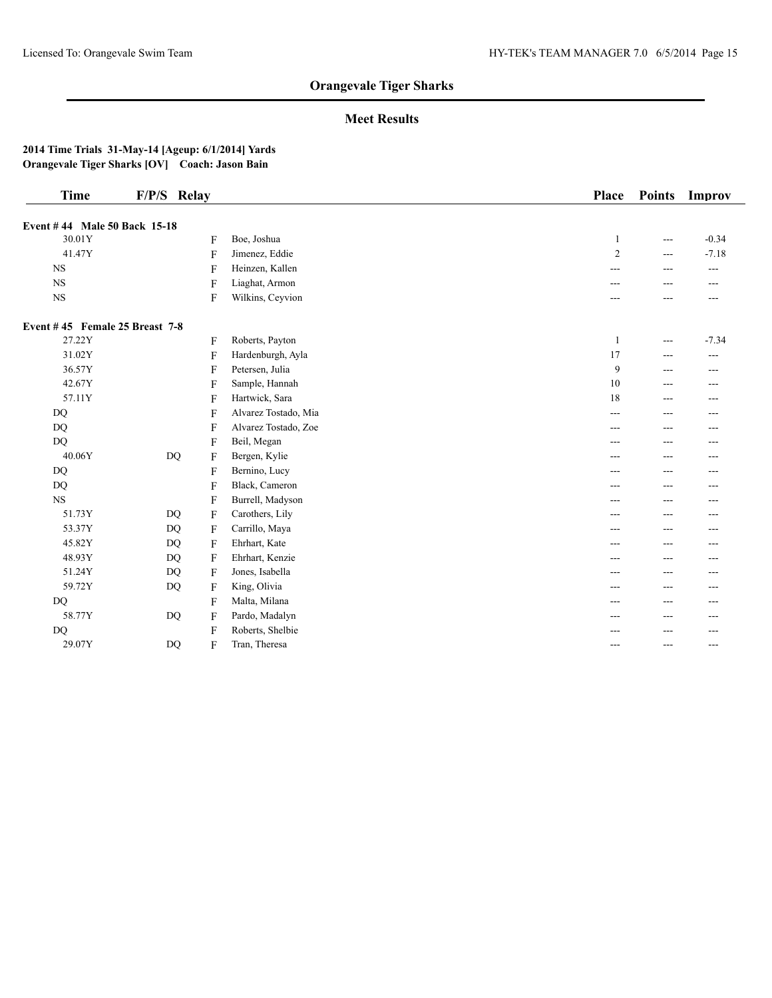## **Meet Results**

| <b>Time</b>                    | F/P/S Relay        |                      | <b>Place</b>   | <b>Points</b> | Improv  |
|--------------------------------|--------------------|----------------------|----------------|---------------|---------|
| Event #44 Male 50 Back 15-18   |                    |                      |                |               |         |
| 30.01Y                         | F                  | Boe, Joshua          | 1              | $---$         | $-0.34$ |
| 41.47Y                         | F                  | Jimenez, Eddie       | $\overline{2}$ | $---$         | $-7.18$ |
| <b>NS</b>                      | F                  | Heinzen, Kallen      | ---            |               | $---$   |
| <b>NS</b>                      | F                  | Liaghat, Armon       | ---            |               | ---     |
| <b>NS</b>                      | F                  | Wilkins, Ceyvion     | ---            | ---           | $---$   |
| Event #45 Female 25 Breast 7-8 |                    |                      |                |               |         |
| 27.22Y                         | F                  | Roberts, Payton      | -1             | $---$         | $-7.34$ |
| 31.02Y                         | F                  | Hardenburgh, Ayla    | 17             | $---$         | $---$   |
| 36.57Y                         | F                  | Petersen, Julia      | 9              | ---           | ---     |
| 42.67Y                         | F                  | Sample, Hannah       | 10             | ---           | ---     |
| 57.11Y                         | F                  | Hartwick, Sara       | 18             | $---$         | $---$   |
| DQ                             | F                  | Alvarez Tostado, Mia | ---            | $---$         | ---     |
| <b>DQ</b>                      | F                  | Alvarez Tostado, Zoe | ---            | ---           | ---     |
| DQ                             | F                  | Beil, Megan          | ---            | ---           | ---     |
| 40.06Y                         | DQ<br>F            | Bergen, Kylie        | ---            | ---           | ---     |
| <b>DQ</b>                      | F                  | Bernino, Lucy        | ---            | ---           | $---$   |
| <b>DQ</b>                      | F                  | Black, Cameron       | ---            | $---$         | ---     |
| <b>NS</b>                      | F                  | Burrell, Madyson     | ---            | $---$         | $---$   |
| 51.73Y                         | <b>DQ</b><br>F     | Carothers, Lily      | ---            | $- - -$       | $- - -$ |
| 53.37Y                         | <b>DQ</b><br>F     | Carrillo, Maya       | ---            | ---           |         |
| 45.82Y                         | <b>DQ</b><br>F     | Ehrhart, Kate        | ---            | ---           | ---     |
| 48.93Y                         | <b>DQ</b><br>F     | Ehrhart, Kenzie      | ---            | ---           | ---     |
| 51.24Y                         | DQ<br>$\mathbf{F}$ | Jones, Isabella      | ---            | $---$         | ---     |
| 59.72Y                         | <b>DQ</b><br>F     | King, Olivia         | ---            | ---           | ---     |
| DQ                             | F                  | Malta, Milana        | ---            |               |         |
| 58.77Y                         | F<br>DQ            | Pardo, Madalyn       | ---            | ---           | ---     |
| DQ                             | F                  | Roberts, Shelbie     |                |               | ---     |
| 29.07Y                         | <b>DQ</b><br>F     | Tran, Theresa        | ---            | $---$         | $---$   |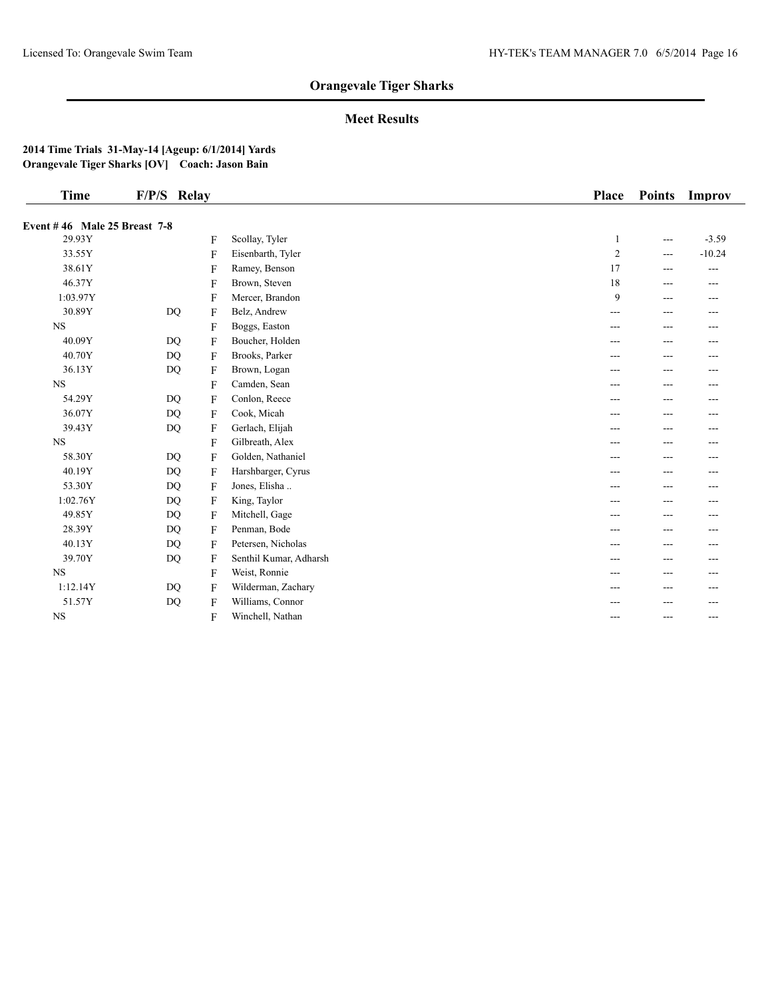## **Meet Results**

| Time                                | F/P/S Relay |              |                        | <b>Place</b>   | <b>Points</b> | Improv   |
|-------------------------------------|-------------|--------------|------------------------|----------------|---------------|----------|
| <b>Event #46 Male 25 Breast 7-8</b> |             |              |                        |                |               |          |
| 29.93Y                              |             | F            | Scollay, Tyler         | 1              | $---$         | $-3.59$  |
| 33.55Y                              |             | F            | Eisenbarth, Tyler      | $\overline{c}$ | ---           | $-10.24$ |
| 38.61Y                              |             | F            | Ramey, Benson          | 17             | ---           | $---$    |
| 46.37Y                              |             | F            | Brown, Steven          | 18             | ---           | $---$    |
| 1:03.97Y                            |             | $\mathbf{F}$ | Mercer, Brandon        | 9              | ---           | ---      |
| 30.89Y                              | DQ          | F            | Belz, Andrew           | ---            | ---           | ---      |
| <b>NS</b>                           |             | F            | Boggs, Easton          | ---            | ---           | ---      |
| 40.09Y                              | <b>DQ</b>   | F            | Boucher, Holden        | ---            | ---           | ---      |
| 40.70Y                              | <b>DQ</b>   | $\mathbf{F}$ | Brooks, Parker         | ---            | ---           | ---      |
| 36.13Y                              | DQ          | F            | Brown, Logan           | ---            | ---           | ---      |
| <b>NS</b>                           |             | F            | Camden, Sean           | ---            | ---           | ---      |
| 54.29Y                              | <b>DQ</b>   | F            | Conlon, Reece          | ---            | ---           | ---      |
| 36.07Y                              | DQ          | $\mathbf{F}$ | Cook, Micah            | ---            | ---           | ---      |
| 39.43Y                              | <b>DQ</b>   | F            | Gerlach, Elijah        | ---            | ---           | ---      |
| <b>NS</b>                           |             | F            | Gilbreath, Alex        | ---            | ---           | ---      |
| 58.30Y                              | <b>DQ</b>   | F            | Golden, Nathaniel      | ---            | ---           | ---      |
| 40.19Y                              | <b>DQ</b>   | F            | Harshbarger, Cyrus     | ---            | ---           | ---      |
| 53.30Y                              | <b>DQ</b>   | F            | Jones, Elisha          | ---            | ---           | ---      |
| 1:02.76Y                            | <b>DQ</b>   | $\mathbf{F}$ | King, Taylor           | ---            | ---           | ---      |
| 49.85Y                              | <b>DQ</b>   | F            | Mitchell, Gage         | ---            | ---           | ---      |
| 28.39Y                              | <b>DQ</b>   | $\mathbf{F}$ | Penman, Bode           | ---            | ---           | ---      |
| 40.13Y                              | <b>DQ</b>   | F            | Petersen, Nicholas     | ---            | ---           | ---      |
| 39.70Y                              | <b>DQ</b>   | F            | Senthil Kumar, Adharsh | ---            | ---           | ---      |
| <b>NS</b>                           |             | F            | Weist, Ronnie          | ---            | ---           | ---      |
| 1:12.14Y                            | <b>DQ</b>   | F            | Wilderman, Zachary     | ---            | ---           | ---      |
| 51.57Y                              | <b>DQ</b>   | F            | Williams, Connor       |                |               | ---      |
| <b>NS</b>                           |             | F            | Winchell, Nathan       | ---            | ---           | $---$    |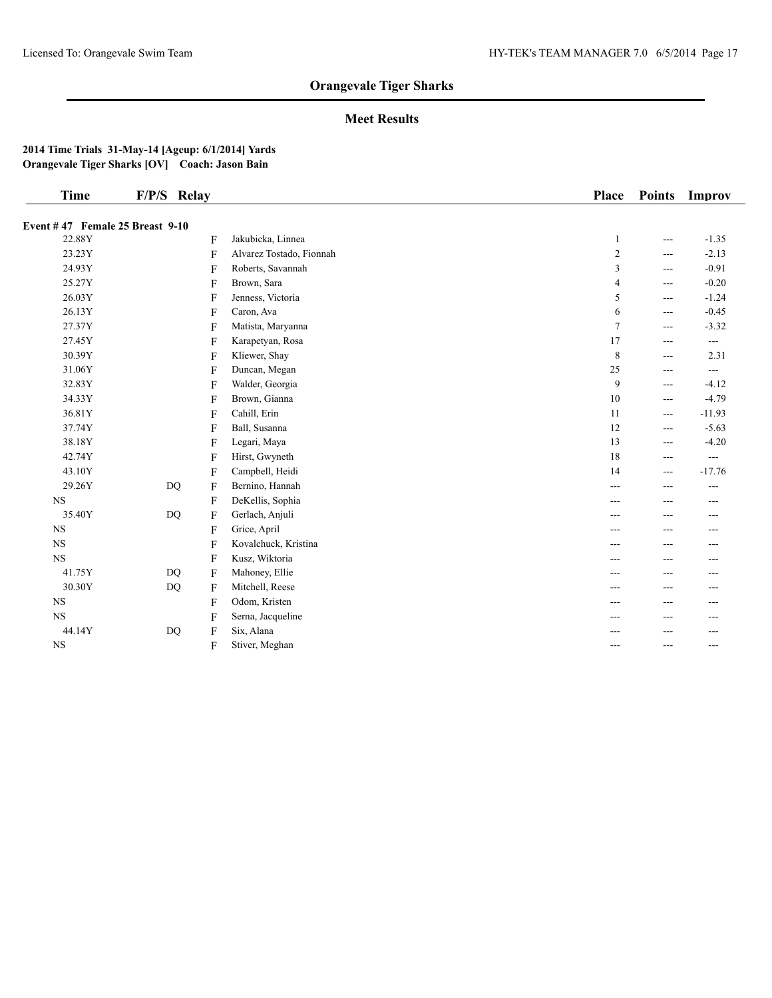## **Meet Results**

| <b>Time</b>                     | F/P/S Relay |   |                          | Place          | <b>Points</b>     | Improv   |
|---------------------------------|-------------|---|--------------------------|----------------|-------------------|----------|
| Event #47 Female 25 Breast 9-10 |             |   |                          |                |                   |          |
| 22.88Y                          |             | F | Jakubicka, Linnea        | 1              | $---$             | $-1.35$  |
| 23.23Y                          |             | F | Alvarez Tostado, Fionnah | 2              | $---$             | $-2.13$  |
| 24.93Y                          |             | F | Roberts, Savannah        | 3              | $---$             | $-0.91$  |
| 25.27Y                          |             | F | Brown, Sara              | 4              | $---$             | $-0.20$  |
| 26.03Y                          |             | F | Jenness, Victoria        | 5              | $---$             | $-1.24$  |
| 26.13Y                          |             | F | Caron, Ava               | 6              | $- - -$           | $-0.45$  |
| 27.37Y                          |             | F | Matista, Maryanna        | $\overline{7}$ | $---$             | $-3.32$  |
| 27.45Y                          |             | F | Karapetyan, Rosa         | 17             | $---$             | ---      |
| 30.39Y                          |             | F | Kliewer, Shay            | 8              | $\qquad \qquad -$ | 2.31     |
| 31.06Y                          |             | F | Duncan, Megan            | 25             | $---$             | $---$    |
| 32.83Y                          |             | F | Walder, Georgia          | 9              | $\qquad \qquad -$ | $-4.12$  |
| 34.33Y                          |             | F | Brown, Gianna            | 10             | $---$             | $-4.79$  |
| 36.81Y                          |             | F | Cahill, Erin             | 11             | $---$             | $-11.93$ |
| 37.74Y                          |             | F | Ball, Susanna            | 12             | $\qquad \qquad -$ | $-5.63$  |
| 38.18Y                          |             | F | Legari, Maya             | 13             | $---$             | $-4.20$  |
| 42.74Y                          |             | F | Hirst, Gwyneth           | 18             | $---$             | ---      |
| 43.10Y                          |             | F | Campbell, Heidi          | 14             | $---$             | $-17.76$ |
| 29.26Y                          | DQ          | F | Bernino, Hannah          | ---            | ---               | ---      |
| $_{\rm NS}$                     |             | F | DeKellis, Sophia         | ---            | $---$             | $---$    |
| 35.40Y                          | DQ          | F | Gerlach, Anjuli          | ---            |                   | ---      |
| <b>NS</b>                       |             | F | Grice, April             | ---            |                   | ---      |
| $_{\rm NS}$                     |             | F | Kovalchuck, Kristina     | ---            | $---$             | $---$    |
| $_{\rm NS}$                     |             | F | Kusz, Wiktoria           | ---            |                   | ---      |
| 41.75Y                          | <b>DQ</b>   | F | Mahoney, Ellie           | ---            | $---$             | ---      |
| 30.30Y                          | <b>DQ</b>   | F | Mitchell, Reese          | ---            | $- - -$           | $- - -$  |
| <b>NS</b>                       |             | F | Odom, Kristen            | ---            |                   |          |
| $_{\rm NS}$                     |             | F | Serna, Jacqueline        | ---            | ---               | ---      |
| 44.14Y                          | DQ          | F | Six, Alana               |                |                   | ---      |
| <b>NS</b>                       |             | F | Stiver, Meghan           | ---            | ---               | $---$    |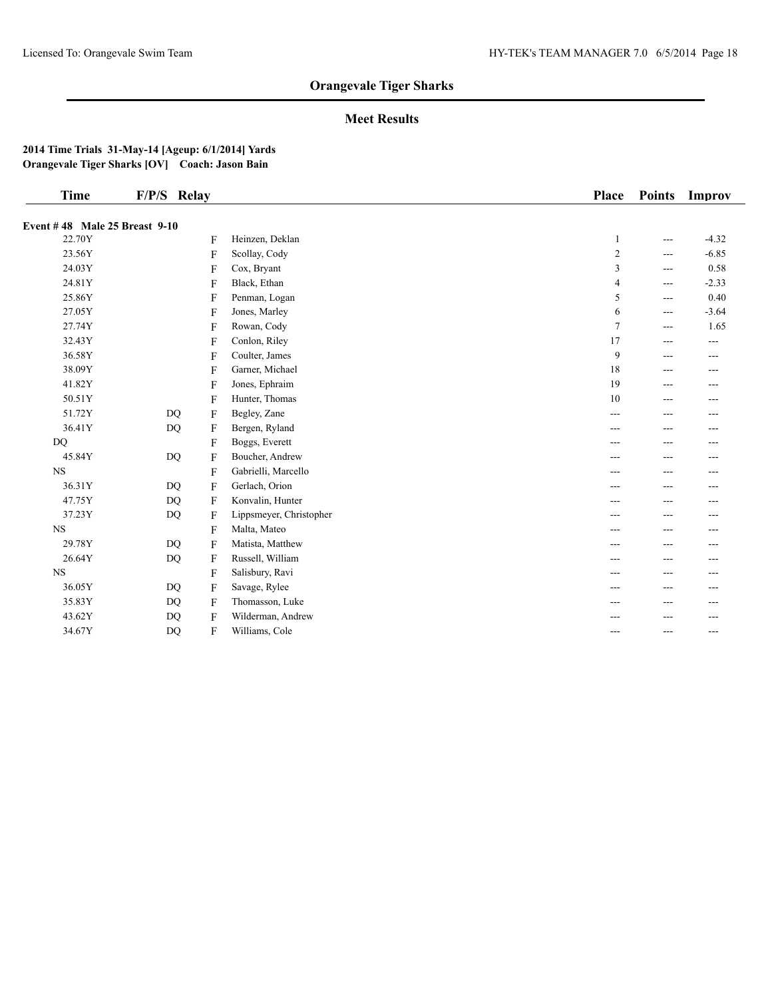## **Meet Results**

| <b>Time</b>                   | F/P/S Relay |              |                         | Place          | <b>Points</b>     | Improv  |
|-------------------------------|-------------|--------------|-------------------------|----------------|-------------------|---------|
| Event #48 Male 25 Breast 9-10 |             |              |                         |                |                   |         |
| 22.70Y                        |             | F            | Heinzen, Deklan         | 1              | $\qquad \qquad -$ | $-4.32$ |
| 23.56Y                        |             | F            | Scollay, Cody           | $\overline{c}$ | $---$             | $-6.85$ |
| 24.03Y                        |             | F            | Cox, Bryant             | 3              | $---$             | 0.58    |
| 24.81Y                        |             | F            | Black, Ethan            | 4              | $---$             | $-2.33$ |
| 25.86Y                        |             | F            | Penman, Logan           | 5              | $---$             | 0.40    |
| 27.05Y                        |             | F            | Jones, Marley           | 6              | $- - -$           | $-3.64$ |
| 27.74Y                        |             | F            | Rowan, Cody             | $\overline{7}$ | $---$             | 1.65    |
| 32.43Y                        |             | F            | Conlon, Riley           | 17             | $---$             | $---$   |
| 36.58Y                        |             | F            | Coulter, James          | 9              | $---$             | $---$   |
| 38.09Y                        |             | F            | Garner, Michael         | 18             | $---$             | $---$   |
| 41.82Y                        |             | F            | Jones, Ephraim          | 19             | $---$             | $---$   |
| 50.51Y                        |             | F            | Hunter, Thomas          | 10             | ---               | ---     |
| 51.72Y                        | <b>DQ</b>   | F            | Begley, Zane            | ---            | ---               | $---$   |
| 36.41Y                        | DQ          | F            | Bergen, Ryland          | ---            | $---$             | $---$   |
| DQ                            |             | F            | Boggs, Everett          | ---            | ---               | ---     |
| 45.84Y                        | DQ          | F            | Boucher, Andrew         | ---            | ---               | ---     |
| <b>NS</b>                     |             | F            | Gabrielli, Marcello     | ---            | ---               | ---     |
| 36.31Y                        | DQ          | $\mathbf{F}$ | Gerlach, Orion          | ---            |                   | ---     |
| 47.75Y                        | <b>DQ</b>   | F            | Konvalin, Hunter        | ---            | ---               | ---     |
| 37.23Y                        | <b>DQ</b>   | F            | Lippsmeyer, Christopher | ---            | $---$             | $---$   |
| <b>NS</b>                     |             | $\mathbf{F}$ | Malta, Mateo            | ---            |                   | ---     |
| 29.78Y                        | <b>DQ</b>   | F            | Matista, Matthew        | ---            |                   | ---     |
| 26.64Y                        | <b>DQ</b>   | F            | Russell, William        | ---            | $---$             | $---$   |
| <b>NS</b>                     |             | F            | Salisbury, Ravi         | ---            | ---               | ---     |
| 36.05Y                        | DQ          | F            | Savage, Rylee           | ---            | ---               | ---     |
| 35.83Y                        | DQ          | F            | Thomasson, Luke         | ---            | ---               | $- - -$ |
| 43.62Y                        | <b>DQ</b>   | F            | Wilderman, Andrew       |                |                   | ---     |
| 34.67Y                        | <b>DQ</b>   | F            | Williams, Cole          | ---            | $---$             | ---     |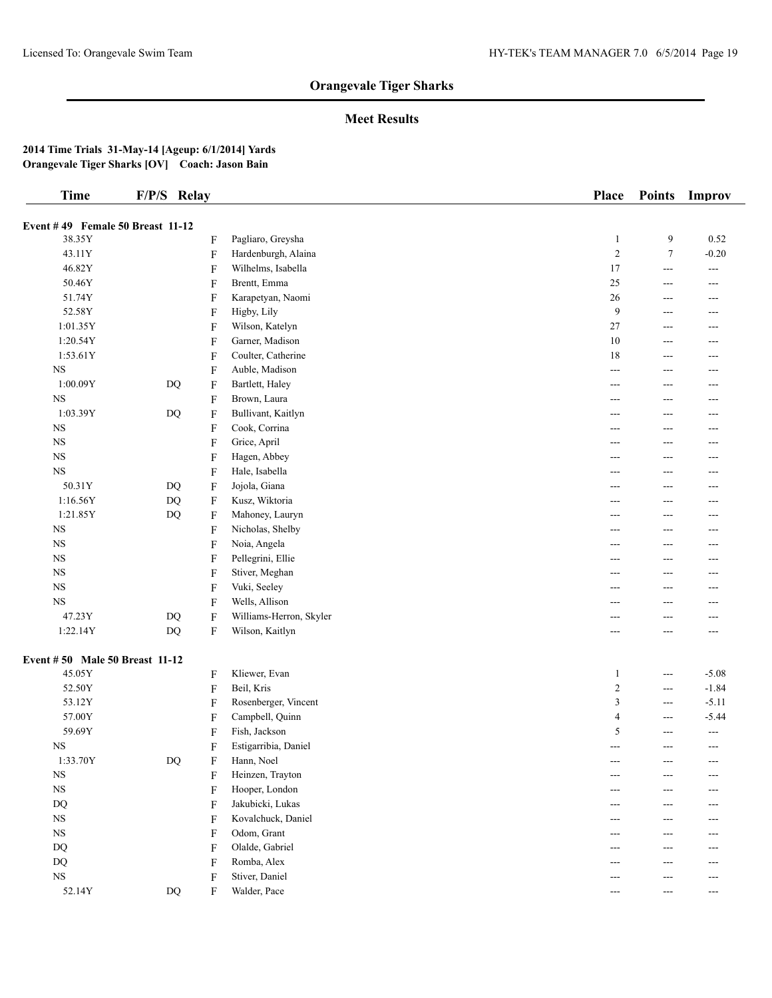## **Meet Results**

| <b>Time</b>                      | F/P/S Relay            |   |                         | Place          | <b>Points</b>         | Improv            |
|----------------------------------|------------------------|---|-------------------------|----------------|-----------------------|-------------------|
| Event #49 Female 50 Breast 11-12 |                        |   |                         |                |                       |                   |
| 38.35Y                           |                        | F | Pagliaro, Greysha       | $\mathbf{1}$   | 9                     | 0.52              |
| 43.11Y                           |                        | F | Hardenburgh, Alaina     | $\sqrt{2}$     | $\tau$                | $-0.20$           |
| 46.82Y                           |                        | F | Wilhelms, Isabella      | 17             | $\overline{a}$        | $\overline{a}$    |
| 50.46Y                           |                        | F | Brentt, Emma            | 25             | $\qquad \qquad -$     | $---$             |
| 51.74Y                           |                        | F | Karapetyan, Naomi       | 26             | $---$                 | ---               |
| 52.58Y                           |                        | F | Higby, Lily             | 9              | $---$                 | $---$             |
| 1:01.35Y                         |                        | F | Wilson, Katelyn         | 27             | $\qquad \qquad -$     | $---$             |
| 1:20.54Y                         |                        | F | Garner, Madison         | 10             | $---$                 | $\qquad \qquad -$ |
| 1:53.61Y                         |                        | F | Coulter, Catherine      | 18             | $---$                 | $---$             |
| $_{\rm NS}$                      |                        | F | Auble, Madison          | $---$          | $\qquad \qquad -$     | $---$             |
| 1:00.09Y                         | $\mathbf{D}\mathbf{Q}$ | F | Bartlett, Haley         | ---            | ---                   | ---               |
| $_{\rm NS}$                      |                        | F | Brown, Laura            | ---            | $---$                 | $---$             |
| 1:03.39Y                         | $\mathbf{D}\mathbf{Q}$ | F | Bullivant, Kaitlyn      | ---            | $---$                 | $---$             |
| $_{\rm NS}$                      |                        | F | Cook, Corrina           | ---            | ---                   | ---               |
| $_{\rm NS}$                      |                        | F | Grice, April            | ---            | $---$                 | $---$             |
| $_{\rm NS}$                      |                        | F | Hagen, Abbey            | ---            | $---$                 | ---               |
| $_{\rm NS}$                      |                        | F | Hale, Isabella          | ---            | ---                   | ---               |
| 50.31Y                           | DQ                     | F | Jojola, Giana           | ---            | $---$                 | $---$             |
| 1:16.56Y                         | $\rm DQ$               | F | Kusz, Wiktoria          | ---            | ---                   | ---               |
| 1:21.85Y                         | $DQ$                   | F | Mahoney, Lauryn         | ---            | $---$                 | $---$             |
| $_{\rm NS}$                      |                        | F | Nicholas, Shelby        | ---            | $---$                 | $---$             |
| $_{\rm NS}$                      |                        | F | Noia, Angela            | ---            | $---$                 | $---$             |
| NS                               |                        | F | Pellegrini, Ellie       | ---            | ---                   | ---               |
| $_{\rm NS}$                      |                        | F | Stiver, Meghan          | ---            | ---                   | $---$             |
| NS                               |                        | F | Vuki, Seeley            | ---            | ---                   | $---$             |
| $_{\rm NS}$                      |                        | F | Wells, Allison          | ---            | ---                   | ---               |
| 47.23Y                           | DQ                     | F | Williams-Herron, Skyler | ---            | ---                   | $---$             |
| 1:22.14Y                         | DQ                     | F | Wilson, Kaitlyn         | ---            | $---$                 | $\qquad \qquad -$ |
| Event #50 Male 50 Breast 11-12   |                        |   |                         |                |                       |                   |
| 45.05Y                           |                        | F | Kliewer, Evan           | $\mathbf{1}$   | $\qquad \qquad -$     | $-5.08$           |
| 52.50Y                           |                        | F | Beil, Kris              | $\overline{c}$ | $\overline{a}$        | $-1.84$           |
| 53.12Y                           |                        | F | Rosenberger, Vincent    | 3              | $\scriptstyle \cdots$ | $-5.11$           |
| 57.00Y                           |                        | F | Campbell, Quinn         | 4              | $---$                 | $-5.44$           |
| 59.69Y                           |                        | F | Fish, Jackson           | 5              | ---                   | $\overline{a}$    |
| <b>NS</b>                        |                        | F | Estigarribia, Daniel    | ---            | $\overline{a}$        | $\overline{a}$    |
| 1:33.70Y                         | $\mathbf{D}\mathbf{Q}$ | F | Hann, Noel              | ---            |                       | ---               |
| $_{\rm NS}$                      |                        | F | Heinzen, Trayton        | $---$          | ---                   | $---$             |
| $_{\rm NS}$                      |                        | F | Hooper, London          | ---            | ---                   | ---               |
| $\mathbf{D}\mathbf{Q}$           |                        | F | Jakubicki, Lukas        | ---            | ---                   | ---               |
| $_{\rm NS}$                      |                        | F | Kovalchuck, Daniel      | ---            | ---                   | ---               |
| NS                               |                        | F | Odom, Grant             | ---            | $---$                 | ---               |
| <b>DQ</b>                        |                        | F | Olalde, Gabriel         | ---            | ---                   | ---               |
| <b>DQ</b>                        |                        | F | Romba, Alex             | ---            | $---$                 | $---$             |
| $_{\rm NS}$                      |                        | F | Stiver, Daniel          | ---            | $---$                 | $---$             |
| 52.14Y                           | $\rm DQ$               | F | Walder, Pace            | $---$          | $\qquad \qquad -$     | $\qquad \qquad -$ |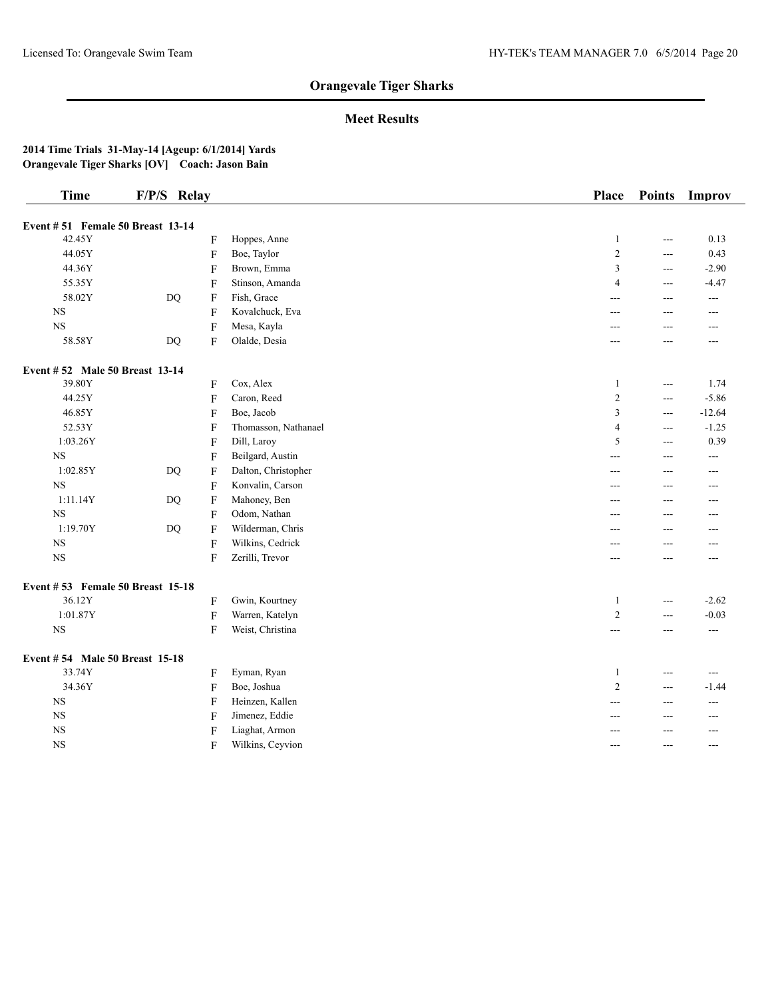## **Meet Results**

| <b>Time</b>                       | F/P/S Relay |                           |                      | Place          | <b>Points</b>  | Improv            |
|-----------------------------------|-------------|---------------------------|----------------------|----------------|----------------|-------------------|
| Event # 51 Female 50 Breast 13-14 |             |                           |                      |                |                |                   |
| 42.45Y                            |             | F                         | Hoppes, Anne         | $\mathbf{1}$   | ---            | 0.13              |
| 44.05Y                            |             | ${\bf F}$                 | Boe, Taylor          | $\sqrt{2}$     | ---            | 0.43              |
| 44.36Y                            |             | ${\bf F}$                 | Brown, Emma          | 3              | $\overline{a}$ | $-2.90$           |
| 55.35Y                            |             | ${\bf F}$                 | Stinson, Amanda      | $\overline{4}$ | ---            | $-4.47$           |
| 58.02Y                            | $DQ$        | F                         | Fish, Grace          | ---            | ---            | $---$             |
| $_{\rm NS}$                       |             | ${\bf F}$                 | Kovalchuck, Eva      | $---$          | $---$          | $---$             |
| NS                                |             | $\boldsymbol{\mathrm{F}}$ | Mesa, Kayla          |                | ---            | ---               |
| 58.58Y                            | DQ          | F                         | Olalde, Desia        | ---            | ---            | ---               |
| Event #52 Male 50 Breast 13-14    |             |                           |                      |                |                |                   |
| 39.80Y                            |             | F                         | Cox, Alex            | $\mathbf{1}$   | $\overline{a}$ | 1.74              |
| 44.25Y                            |             | $\boldsymbol{\mathrm{F}}$ | Caron, Reed          | $\overline{2}$ | $\overline{a}$ | $-5.86$           |
| 46.85Y                            |             | F                         | Boe, Jacob           | $\overline{3}$ | $---$          | $-12.64$          |
| 52.53Y                            |             | $\boldsymbol{\mathrm{F}}$ | Thomasson, Nathanael | $\overline{4}$ | $- - -$        | $-1.25$           |
| 1:03.26Y                          |             | $\boldsymbol{\mathrm{F}}$ | Dill, Laroy          | 5              | ---            | 0.39              |
| $_{\rm NS}$                       |             | $\boldsymbol{\mathrm{F}}$ | Beilgard, Austin     | ---            | ---            | ---               |
| 1:02.85Y                          | <b>DQ</b>   | F                         | Dalton, Christopher  | $- - -$        | $- - -$        | ---               |
| $_{\rm NS}$                       |             | ${\bf F}$                 | Konvalin, Carson     | ---            | $---$          | ---               |
| 1:11.14Y                          | $DQ$        | $\boldsymbol{\mathrm{F}}$ | Mahoney, Ben         |                | ---            | ---               |
| $_{\rm NS}$                       |             | ${\bf F}$                 | Odom, Nathan         | ---            | $---$          | ---               |
| 1:19.70Y                          | $DQ$        | ${\bf F}$                 | Wilderman, Chris     | ---            | $\overline{a}$ | ---               |
| $_{\rm NS}$                       |             | ${\bf F}$                 | Wilkins, Cedrick     |                | ---            | ---               |
| <b>NS</b>                         |             | F                         | Zerilli, Trevor      | ---            | $---$          | ---               |
| Event #53 Female 50 Breast 15-18  |             |                           |                      |                |                |                   |
| 36.12Y                            |             | F                         | Gwin, Kourtney       | $\mathbf{1}$   | $\sim$ $\sim$  | $-2.62$           |
| 1:01.87Y                          |             | ${\bf F}$                 | Warren, Katelyn      | $\sqrt{2}$     | ---            | $-0.03$           |
| <b>NS</b>                         |             | F                         | Weist, Christina     | $---$          | ---            | $\qquad \qquad -$ |
| Event #54 Male 50 Breast 15-18    |             |                           |                      |                |                |                   |
| 33.74Y                            |             | F                         | Eyman, Ryan          | $\mathbf{1}$   | $\overline{a}$ | $\overline{a}$    |
| 34.36Y                            |             | $\boldsymbol{\mathrm{F}}$ | Boe, Joshua          | $\sqrt{2}$     | ---            | $-1.44$           |
| <b>NS</b>                         |             | F                         | Heinzen, Kallen      | ---            | ---            | ---               |
| $_{\rm NS}$                       |             | $\boldsymbol{\mathrm{F}}$ | Jimenez, Eddie       | $---$          | $---$          | $---$             |
| $_{\rm NS}$                       |             | F                         | Liaghat, Armon       |                | ---            | ---               |
| $_{\rm NS}$                       |             | F                         | Wilkins, Ceyvion     | $---$          | ---            | $---$             |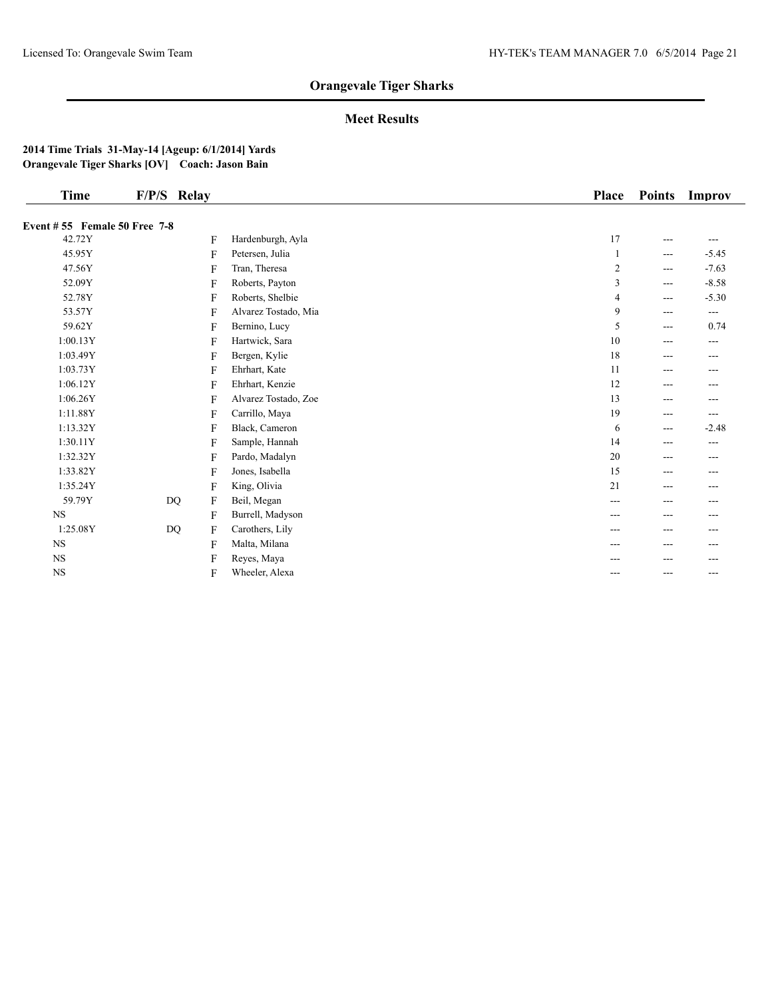## **Meet Results**

|                |                                                               | <b>Place</b>                                         | <b>Points</b>     | Improv              |
|----------------|---------------------------------------------------------------|------------------------------------------------------|-------------------|---------------------|
|                |                                                               |                                                      |                   |                     |
| F              | Hardenburgh, Ayla                                             | 17                                                   | $---$             | $---$               |
| F              | Petersen, Julia                                               |                                                      | $\qquad \qquad -$ | $-5.45$             |
| F              | Tran, Theresa                                                 | 2                                                    | $---$             | $-7.63$             |
| F              |                                                               | 3                                                    | $---$             | $-8.58$             |
| F              |                                                               | 4                                                    | $---$             | $-5.30$             |
| F              | Alvarez Tostado, Mia                                          | 9                                                    | $---$             | $\qquad \qquad - -$ |
| F              | Bernino, Lucy                                                 | 5                                                    | $---$             | 0.74                |
| F              | Hartwick, Sara                                                | 10                                                   | $---$             | $---$               |
| F              |                                                               | 18                                                   | $---$             | ---                 |
| F              | Ehrhart, Kate                                                 | 11                                                   | $---$             | ---                 |
| F              | Ehrhart, Kenzie                                               | 12                                                   | $---$             | $---$               |
| F              | Alvarez Tostado, Zoe                                          | 13                                                   | $---$             | ---                 |
| F              | Carrillo, Maya                                                | 19                                                   | $- - -$           | $---$               |
| F              | Black, Cameron                                                | 6                                                    | $---$             | $-2.48$             |
| F              | Sample, Hannah                                                | 14                                                   | $---$             | $---$               |
| F              | Pardo, Madalyn                                                | 20                                                   | ---               | ---                 |
| F              | Jones, Isabella                                               | 15                                                   | ---               | ---                 |
| F              | King, Olivia                                                  | 21                                                   | $---$             | ---                 |
| F              | Beil, Megan                                                   | ---                                                  | $---$             | $---$               |
| F              | Burrell, Madyson                                              | ---                                                  | $---$             | $---$               |
| F              | Carothers, Lily                                               | ---                                                  | ---               | ---                 |
| $\overline{F}$ | Malta, Milana                                                 | ---                                                  | $---$             | ---                 |
| F              | Reyes, Maya                                                   |                                                      |                   | ---                 |
| F              | Wheeler, Alexa                                                | ---                                                  | ---               | $- - -$             |
|                | F/P/S Relay<br>Event #55 Female 50 Free 7-8<br>$\rm DQ$<br>DQ | Roberts, Payton<br>Roberts, Shelbie<br>Bergen, Kylie |                   |                     |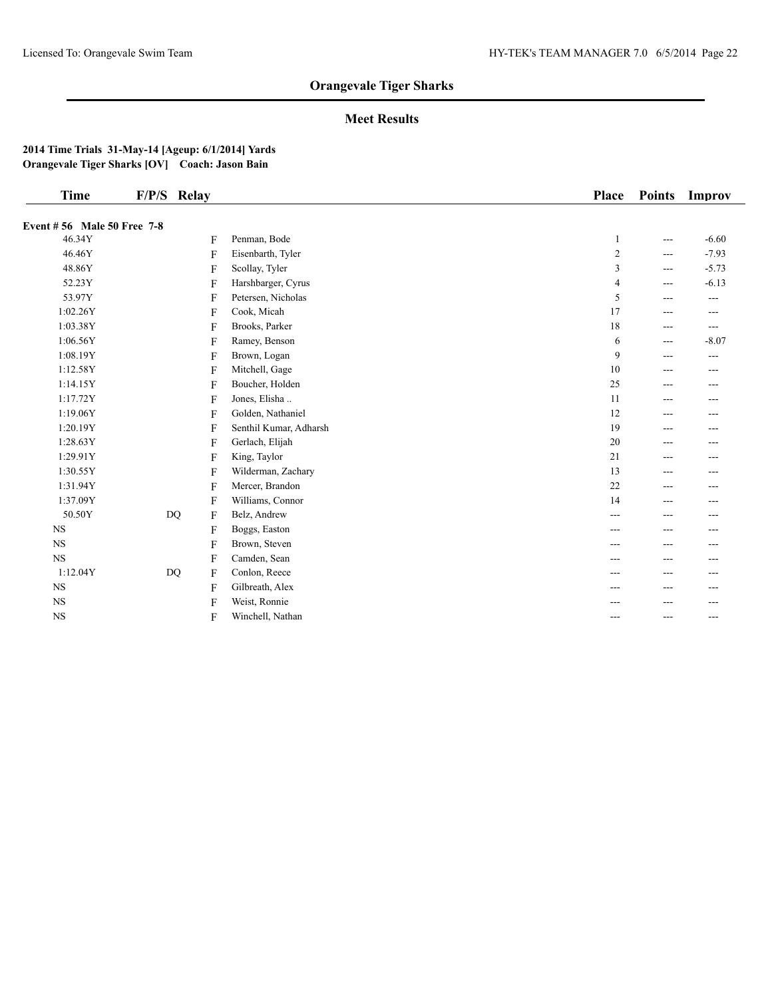## **Meet Results**

| <b>Time</b>                          | F/P/S Relay |                        | <b>Place</b>   | <b>Points</b> | Improv  |
|--------------------------------------|-------------|------------------------|----------------|---------------|---------|
|                                      |             |                        |                |               |         |
| Event #56 Male 50 Free 7-8<br>46.34Y | F           | Penman, Bode           | 1              | $---$         | $-6.60$ |
| 46.46Y                               | F           | Eisenbarth, Tyler      | $\sqrt{2}$     | $---$         | $-7.93$ |
| 48.86Y                               | F           | Scollay, Tyler         | 3              | $\cdots$      | $-5.73$ |
| 52.23Y                               | F           | Harshbarger, Cyrus     | $\overline{4}$ | $---$         | $-6.13$ |
| 53.97Y                               | F           | Petersen, Nicholas     | 5              | $---$         | ---     |
| 1:02.26Y                             | F           | Cook, Micah            | 17             | $---$         | $---$   |
| 1:03.38Y                             | F           | Brooks, Parker         | 18             | $---$         | $---$   |
| 1:06.56Y                             | F           | Ramey, Benson          | 6              | $---$         | $-8.07$ |
| 1:08.19Y                             | F           | Brown, Logan           | 9              | $---$         | ---     |
| 1:12.58Y                             | F           | Mitchell, Gage         | 10             | $---$         | ---     |
| 1:14.15Y                             | F           | Boucher, Holden        | 25             | $---$         | $---$   |
| 1:17.72Y                             | F           | Jones, Elisha          | 11             | $---$         | ---     |
| 1:19.06Y                             | F           | Golden, Nathaniel      | 12             | $---$         | ---     |
| 1:20.19Y                             | F           | Senthil Kumar, Adharsh | 19             | $---$         | ---     |
| 1:28.63Y                             | F           | Gerlach, Elijah        | $20\,$         | $---$         | ---     |
| 1:29.91Y                             | F           | King, Taylor           | 21             | $\cdots$      | ---     |
| 1:30.55Y                             | F           | Wilderman, Zachary     | 13             | ---           | ---     |
| 1:31.94Y                             | F           | Mercer, Brandon        | 22             | $---$         | ---     |
| 1:37.09Y                             | F           | Williams, Connor       | 14             | $\cdots$      | $---$   |
| 50.50Y                               | $DQ$<br>F   | Belz, Andrew           | $---$          | $---$         | ---     |
| <b>NS</b>                            | F           | Boggs, Easton          |                | ---           | ---     |
| <b>NS</b>                            | F           | Brown, Steven          |                | ---           | ---     |
| NS                                   | F           | Camden, Sean           |                | ---           | ---     |
| 1:12.04Y                             | DQ<br>F     | Conlon, Reece          | $---$          | $---$         | ---     |
| <b>NS</b>                            | F           | Gilbreath, Alex        | ---            | $---$         | ---     |
| <b>NS</b>                            | F           | Weist, Ronnie          |                | ---           | ---     |
| $_{\rm NS}$                          | F           | Winchell, Nathan       | $---$          | $---$         | ---     |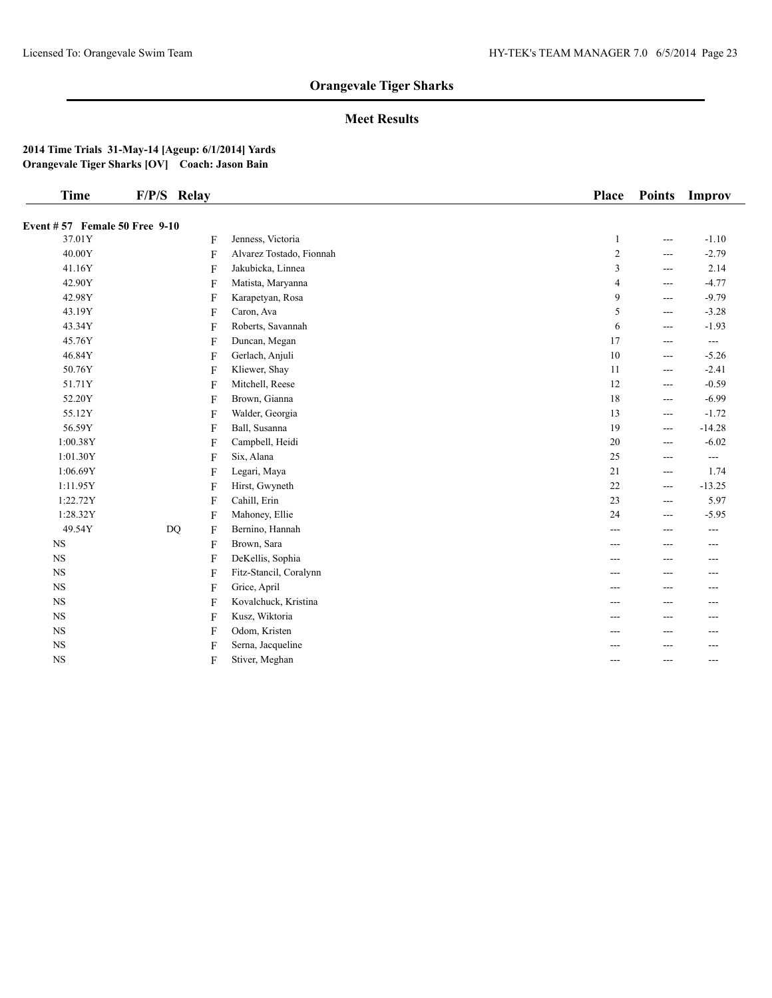## **Meet Results**

| <b>Time</b>                          | F/P/S Relay    |                          | <b>Place</b> | <b>Points</b> | Improv            |
|--------------------------------------|----------------|--------------------------|--------------|---------------|-------------------|
| <b>Event #57 Female 50 Free 9-10</b> |                |                          |              |               |                   |
| 37.01Y                               | F              | Jenness, Victoria        | 1            | ---           | $-1.10$           |
| 40.00Y                               | $\mathbf{F}$   | Alvarez Tostado, Fionnah | 2            | ---           | $-2.79$           |
| 41.16Y                               | F              | Jakubicka, Linnea        | 3            | ---           | 2.14              |
| 42.90Y                               | F              | Matista, Maryanna        | 4            | ---           | $-4.77$           |
| 42.98Y                               | F              | Karapetyan, Rosa         | 9            | ---           | $-9.79$           |
| 43.19Y                               | F              | Caron, Ava               | 5            | ---           | $-3.28$           |
| 43.34Y                               | F              | Roberts, Savannah        | 6            | ---           | $-1.93$           |
| 45.76Y                               | F              | Duncan, Megan            | 17           | ---           | $-$               |
| 46.84Y                               | F              | Gerlach, Anjuli          | $10\,$       | ---           | $-5.26$           |
| 50.76Y                               | F              | Kliewer, Shay            | 11           | $---$         | $-2.41$           |
| 51.71Y                               | F              | Mitchell, Reese          | 12           | $---$         | $-0.59$           |
| 52.20Y                               | F              | Brown, Gianna            | 18           | ---           | $-6.99$           |
| 55.12Y                               | F              | Walder, Georgia          | 13           | ---           | $-1.72$           |
| 56.59Y                               | F              | Ball, Susanna            | 19           | ---           | $-14.28$          |
| 1:00.38Y                             | $\mathbf{F}$   | Campbell, Heidi          | 20           | ---           | $-6.02$           |
| 1:01.30Y                             | F              | Six, Alana               | 25           | ---           | $\qquad \qquad -$ |
| 1:06.69Y                             | F              | Legari, Maya             | 21           | $---$         | 1.74              |
| 1:11.95Y                             | F              | Hirst, Gwyneth           | 22           | ---           | $-13.25$          |
| 1:22.72Y                             | F              | Cahill, Erin             | 23           | ---           | 5.97              |
| 1:28.32Y                             | $\mathbf{F}$   | Mahoney, Ellie           | 24           | ---           | $-5.95$           |
| 49.54Y                               | <b>DQ</b><br>F | Bernino, Hannah          | ---          | ---           | $---$             |
| $_{\rm NS}$                          | F              | Brown, Sara              | ---          | ---           | $- - -$           |
| $_{\rm NS}$                          | F              | DeKellis, Sophia         | ---          | ---           | ---               |
| <b>NS</b>                            | F              | Fitz-Stancil, Coralynn   | ---          | ---           | $- - -$           |
| <b>NS</b>                            | F              | Grice, April             | ---          | ---           | ---               |
| $_{\rm NS}$                          | F              | Kovalchuck, Kristina     | ---          | ---           | ---               |
| $_{\rm NS}$                          | F              | Kusz, Wiktoria           | ---          | ---           |                   |
| <b>NS</b>                            | F              | Odom, Kristen            | ---          | ---           | ---               |
| $_{\rm NS}$                          | F              | Serna, Jacqueline        | ---          | ---           | $---$             |
| <b>NS</b>                            | F              | Stiver, Meghan           | ---          | ---           | $---$             |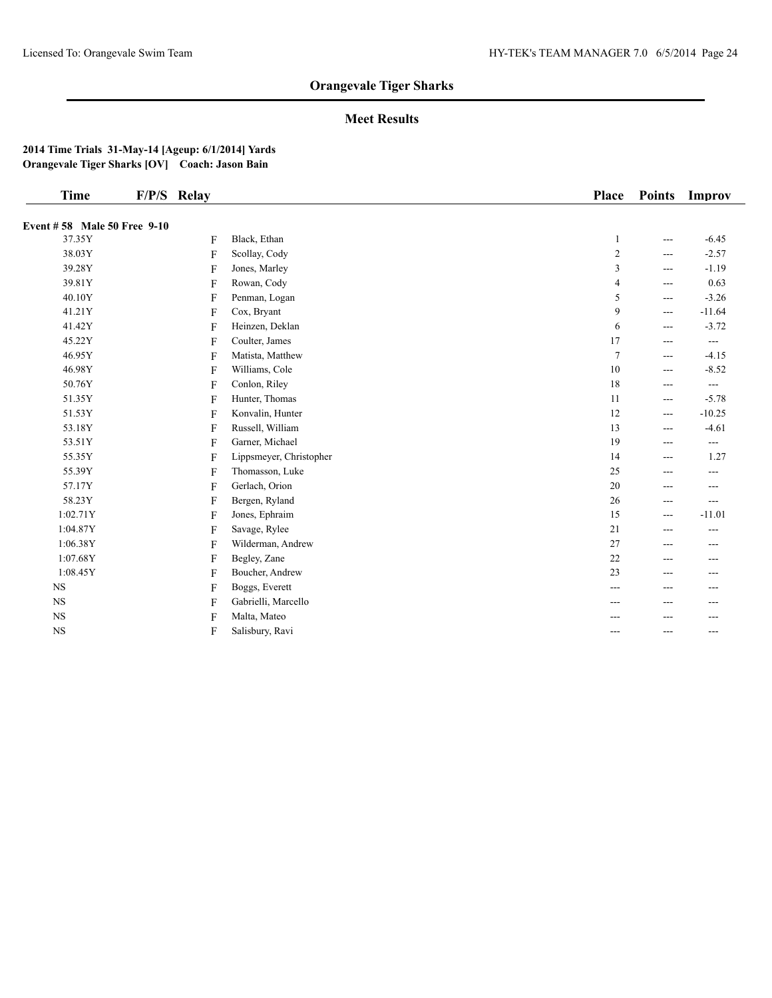## **Meet Results**

| <b>Time</b>                        | F/P/S Relay  |                         | <b>Place</b>   | <b>Points</b> | Improv        |
|------------------------------------|--------------|-------------------------|----------------|---------------|---------------|
| <b>Event #58 Male 50 Free 9-10</b> |              |                         |                |               |               |
| 37.35Y                             | F            | Black, Ethan            | 1              | ---           | $-6.45$       |
| 38.03Y                             | F            | Scollay, Cody           | $\overline{c}$ | ---           | $-2.57$       |
| 39.28Y                             | $\mathbf{F}$ | Jones, Marley           | 3              | ---           | $-1.19$       |
| 39.81Y                             | $\mathbf{F}$ | Rowan, Cody             | 4              | ---           | 0.63          |
| 40.10Y                             | F            | Penman, Logan           | 5              | ---           | $-3.26$       |
| 41.21Y                             | $\mathbf{F}$ | Cox, Bryant             | 9              | ---           | $-11.64$      |
| 41.42Y                             | F            | Heinzen, Deklan         | 6              | $---$         | $-3.72$       |
| 45.22Y                             | F            | Coulter, James          | 17             | ---           | $\frac{1}{2}$ |
| 46.95Y                             | F            | Matista, Matthew        | $\overline{7}$ | ---           | $-4.15$       |
| 46.98Y                             | F            | Williams, Cole          | 10             | $---$         | $-8.52$       |
| 50.76Y                             | F            | Conlon, Riley           | 18             | ---           | $---$         |
| 51.35Y                             | $\mathbf{F}$ | Hunter, Thomas          | 11             | ---           | $-5.78$       |
| 51.53Y                             | F            | Konvalin, Hunter        | 12             | ---           | $-10.25$      |
| 53.18Y                             | F            | Russell, William        | 13             | $---$         | $-4.61$       |
| 53.51Y                             | F            | Garner, Michael         | 19             | ---           | $---$         |
| 55.35Y                             | F            | Lippsmeyer, Christopher | 14             | ---           | 1.27          |
| 55.39Y                             | F            | Thomasson, Luke         | 25             | ---           | ---           |
| 57.17Y                             | F            | Gerlach, Orion          | 20             | ---           | ---           |
| 58.23Y                             | F            | Bergen, Ryland          | 26             | ---           | $---$         |
| 1:02.71Y                           | F            | Jones, Ephraim          | 15             | $---$         | $-11.01$      |
| 1:04.87Y                           | F            | Savage, Rylee           | 21             | ---           | ---           |
| 1:06.38Y                           | $\mathbf{F}$ | Wilderman, Andrew       | 27             | ---           | ---           |
| 1:07.68Y                           | F            | Begley, Zane            | 22             | ---           | ---           |
| 1:08.45Y                           | F            | Boucher, Andrew         | 23             | ---           | ---           |
| <b>NS</b>                          | F            | Boggs, Everett          | ---            | ---           | ---           |
| <b>NS</b>                          | F            | Gabrielli, Marcello     | ---            | ---           |               |
| $_{\rm NS}$                        | F            | Malta, Mateo            |                | ---           | ---           |
| $_{\rm NS}$                        | F            | Salisbury, Ravi         | ---            | ---           | $---$         |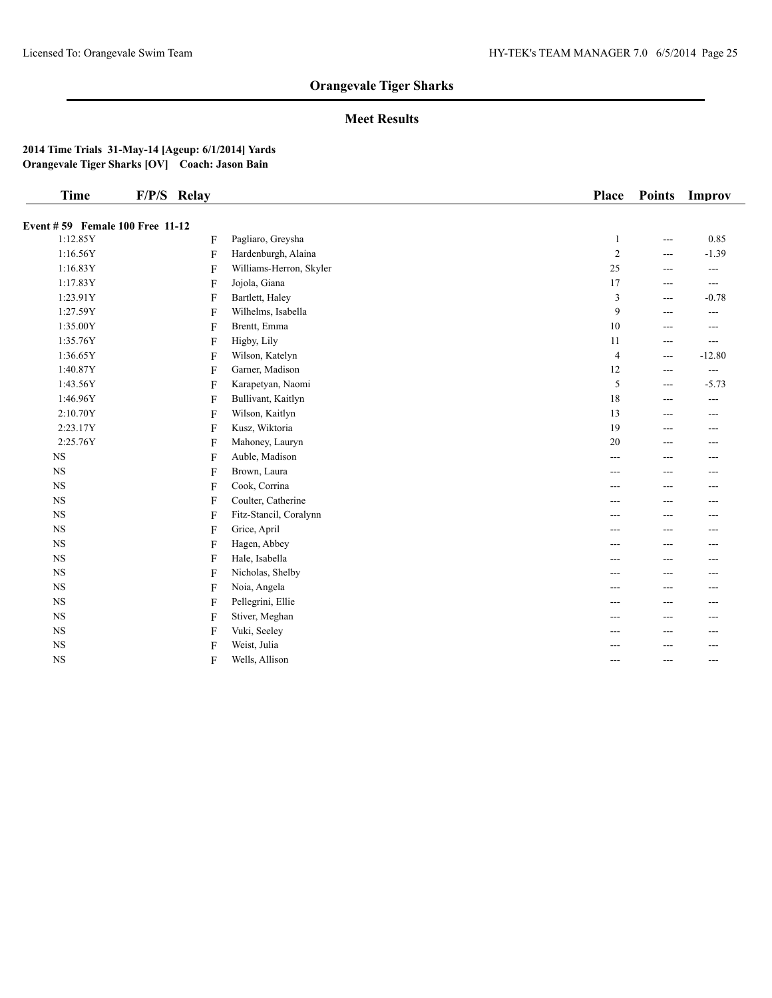## **Meet Results**

| <b>Time</b>                     | F/P/S Relay |                         | Place          | <b>Points</b>  | Improv   |
|---------------------------------|-------------|-------------------------|----------------|----------------|----------|
| Event #59 Female 100 Free 11-12 |             |                         |                |                |          |
| 1:12.85Y                        | F           | Pagliaro, Greysha       | $\mathbf{1}$   | $\overline{a}$ | 0.85     |
| 1:16.56Y                        | F           | Hardenburgh, Alaina     | $\sqrt{2}$     | ---            | $-1.39$  |
| 1:16.83Y                        | F           | Williams-Herron, Skyler | 25             | ---            | ---      |
| 1:17.83Y                        | F           | Jojola, Giana           | 17             | ---            | ---      |
| 1:23.91Y                        | F           | Bartlett, Haley         | $\mathfrak{Z}$ | ---            | $-0.78$  |
| 1:27.59Y                        | F           | Wilhelms, Isabella      | $\overline{9}$ | ---            | ---      |
| 1:35.00Y                        | F           | Brentt, Emma            | $10\,$         | ---            | ---      |
| 1:35.76Y                        | F           | Higby, Lily             | 11             | $---$          | ---      |
| 1:36.65Y                        | F           | Wilson, Katelyn         | $\overline{4}$ | $\overline{a}$ | $-12.80$ |
| 1:40.87Y                        | F           | Garner, Madison         | 12             | $\overline{a}$ | ---      |
| 1:43.56Y                        | F           | Karapetyan, Naomi       | 5              | $---$          | $-5.73$  |
| 1:46.96Y                        | F           | Bullivant, Kaitlyn      | $18\,$         | ---            | ---      |
| 2:10.70Y                        | F           | Wilson, Kaitlyn         | 13             | ---            | ---      |
| 2:23.17Y                        | F           | Kusz, Wiktoria          | 19             | ---            | ---      |
| 2:25.76Y                        | F           | Mahoney, Lauryn         | 20             | ---            | ---      |
| $_{\rm NS}$                     | F           | Auble, Madison          | ---            | ---            | ---      |
| $_{\rm NS}$                     | F           | Brown, Laura            | $---$          | ---            | ---      |
| $_{\rm NS}$                     | F           | Cook, Corrina           | ---            | ---            | ---      |
| $_{\rm NS}$                     | F           | Coulter, Catherine      | ---            | ---            | ---      |
| $_{\rm NS}$                     | F           | Fitz-Stancil, Coralynn  | ---            | ---            | ---      |
| $_{\rm NS}$                     | F           | Grice, April            | ---            | ---            | ---      |
| $_{\rm NS}$                     | F           | Hagen, Abbey            | ---            | ---            | ---      |
| $_{\rm NS}$                     | F           | Hale, Isabella          | ---            | ---            | ---      |
| $_{\rm NS}$                     | F           | Nicholas, Shelby        | ---            | ---            | ---      |
| $_{\rm NS}$                     | F           | Noia, Angela            | ---            | ---            | ---      |
| $_{\rm NS}$                     | F           | Pellegrini, Ellie       | ---            | ---            | ---      |
| $_{\rm NS}$                     | F           | Stiver, Meghan          |                | ---            | ---      |
| $_{\rm NS}$                     | F           | Vuki, Seeley            |                | ---            | ---      |
| $_{\rm NS}$                     | F           | Weist, Julia            |                | ---            | ---      |
| $_{\rm NS}$                     | F           | Wells, Allison          | ---            | ---            | ---      |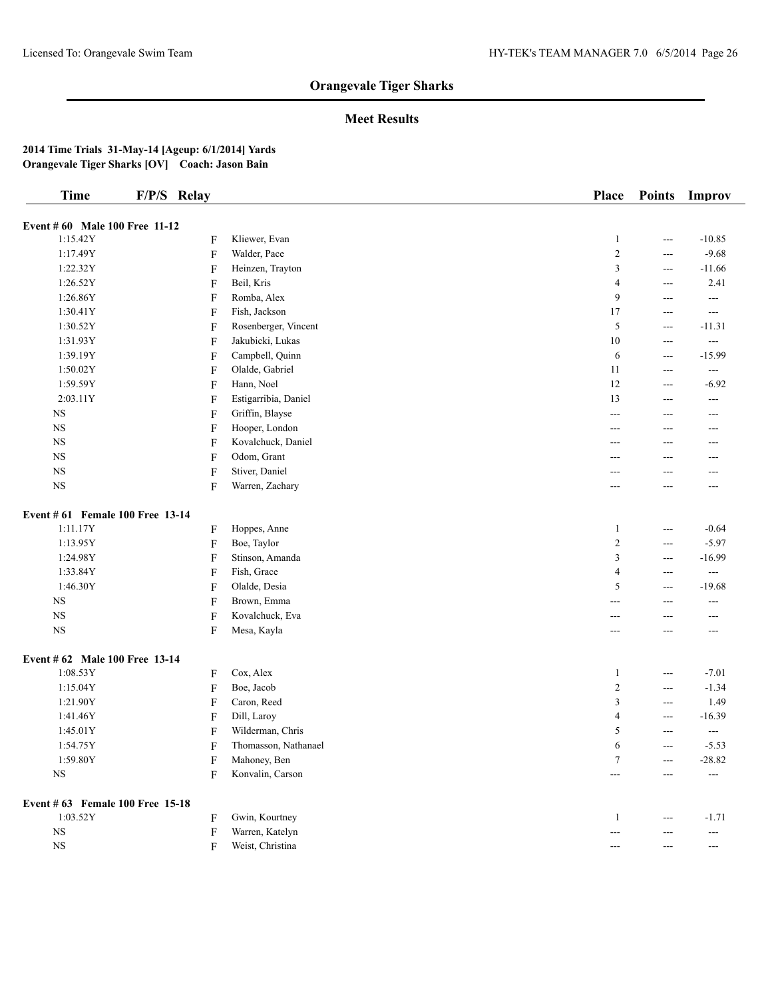## **Meet Results**

| <b>Time</b>                      | F/P/S Relay               |                      | <b>Place</b>            | <b>Points</b> | Improv               |
|----------------------------------|---------------------------|----------------------|-------------------------|---------------|----------------------|
| Event # 60 Male 100 Free 11-12   |                           |                      |                         |               |                      |
| 1:15.42Y                         | F                         | Kliewer, Evan        | 1                       | $---$         | $-10.85$             |
| 1:17.49Y                         | F                         | Walder, Pace         | $\sqrt{2}$              | $---$         | $-9.68$              |
| 1:22.32Y                         | F                         | Heinzen, Trayton     | 3                       | ---           | $-11.66$             |
| 1:26.52Y                         | F                         | Beil, Kris           | $\overline{4}$          | $---$         | 2.41                 |
| 1:26.86Y                         | F                         | Romba, Alex          | 9                       | ---           | $---$                |
| 1:30.41Y                         | F                         | Fish, Jackson        | 17                      | ---           | $- - -$              |
| 1:30.52Y                         | F                         | Rosenberger, Vincent | 5                       | $---$         | $-11.31$             |
| 1:31.93Y                         | F                         | Jakubicki, Lukas     | $10\,$                  | ---           | $\scriptstyle\cdots$ |
| 1:39.19Y                         | F                         | Campbell, Quinn      | 6                       | ---           | $-15.99$             |
| 1:50.02Y                         | F                         | Olalde, Gabriel      | 11                      | $---$         | $\sim$ $\sim$        |
| 1:59.59Y                         | F                         | Hann, Noel           | 12                      | ---           | $-6.92$              |
| 2:03.11Y                         | F                         | Estigarribia, Daniel | 13                      | ---           | ---                  |
| $_{\rm NS}$                      | F                         | Griffin, Blayse      | ---                     | ---           | ---                  |
| $_{\rm NS}$                      | F                         | Hooper, London       | $---$                   | ---           | ---                  |
| $_{\rm NS}$                      | F                         | Kovalchuck, Daniel   | $---$                   | ---           | ---                  |
| $_{\rm NS}$                      | F                         | Odom, Grant          | ---                     | ---           | ---                  |
| $_{\rm NS}$                      | F                         | Stiver, Daniel       | ---                     | ---           | ---                  |
| $_{\rm NS}$                      | F                         | Warren, Zachary      | ---                     | ---           | ---                  |
| Event # 61 Female 100 Free 13-14 |                           |                      |                         |               |                      |
| 1:11.17Y                         | F                         | Hoppes, Anne         | 1                       | ---           | $-0.64$              |
| 1:13.95Y                         | $\boldsymbol{\mathrm{F}}$ | Boe, Taylor          | $\boldsymbol{2}$        | ---           | $-5.97$              |
| 1:24.98Y                         | $\boldsymbol{\mathrm{F}}$ | Stinson, Amanda      | 3                       | ---           | $-16.99$             |
| 1:33.84Y                         | F                         | Fish, Grace          | $\overline{4}$          | ---           | $\sim$ $\sim$        |
| 1:46.30Y                         | F                         | Olalde, Desia        | 5                       | ---           | $-19.68$             |
| $_{\rm NS}$                      | F                         | Brown, Emma          | ---                     | ---           | $---$                |
| $_{\rm NS}$                      | F                         | Kovalchuck, Eva      | ---                     | ---           | ---                  |
| $_{\rm NS}$                      | F                         | Mesa, Kayla          | ---                     | ---           | ---                  |
| Event # 62 Male 100 Free 13-14   |                           |                      |                         |               |                      |
| 1:08.53Y                         | F                         | Cox, Alex            | 1                       | ---           | $-7.01$              |
| 1:15.04Y                         | $\boldsymbol{\mathrm{F}}$ | Boe, Jacob           | $\overline{\mathbf{c}}$ | $---$         | $-1.34$              |
| 1:21.90Y                         | F                         | Caron, Reed          | 3                       | ---           | 1.49                 |
| 1:41.46Y                         | F                         | Dill, Laroy          | $\overline{4}$          | ---           | $-16.39$             |
| 1:45.01Y                         | F                         | Wilderman, Chris     | 5                       | ---           | $\sim$ $\sim$        |
| 1:54.75Y                         | F                         | Thomasson, Nathanael | 6                       | $---$         | $-5.53$              |
| 1:59.80Y                         | F                         | Mahoney, Ben         | 7                       |               | $-28.82$             |
| $_{\rm NS}$                      | F                         | Konvalin, Carson     | $---$                   | ---           | $---$                |
| Event # 63 Female 100 Free 15-18 |                           |                      |                         |               |                      |
| 1:03.52Y                         | F                         | Gwin, Kourtney       | $\mathbf{1}$            | ---           | $-1.71$              |
| $_{\rm NS}$                      | F                         | Warren, Katelyn      | $\frac{1}{2}$           | ---           | $\sim$ $\sim$        |
| $_{\rm NS}$                      | F                         | Weist, Christina     | $---$                   | $---$         | $\scriptstyle\cdots$ |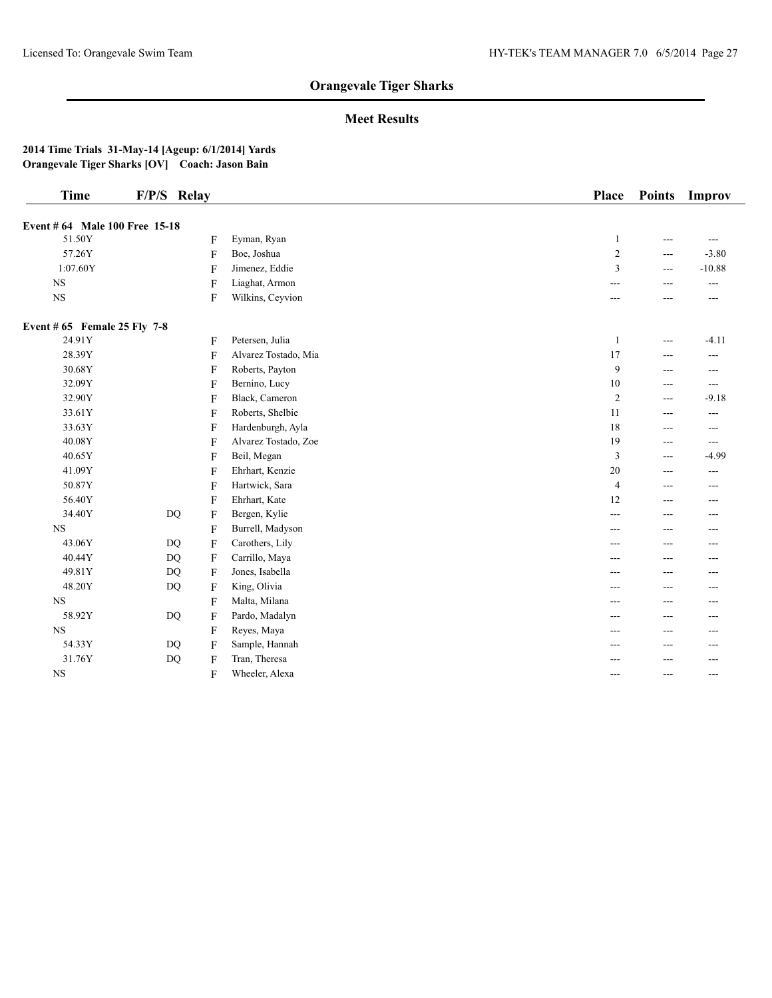## **Meet Results**

| <b>Time</b>                    | F/P/S Relay |                           |                      | <b>Place</b>   | <b>Points</b> | Improv   |
|--------------------------------|-------------|---------------------------|----------------------|----------------|---------------|----------|
| Event # 64 Male 100 Free 15-18 |             |                           |                      |                |               |          |
| 51.50Y                         |             | F                         | Eyman, Ryan          | 1              | ---           | $---$    |
| 57.26Y                         |             | $\mathbf{F}$              | Boe, Joshua          | $\overline{c}$ | ---           | $-3.80$  |
| 1:07.60Y                       |             | F                         | Jimenez, Eddie       | 3              | ---           | $-10.88$ |
| $_{\rm NS}$                    |             | $\mathbf{F}$              | Liaghat, Armon       | ---            | ---           | ---      |
| $_{\rm NS}$                    |             | F                         | Wilkins, Ceyvion     | ---            | ---           | ---      |
| Event $# 65$ Female 25 Fly 7-8 |             |                           |                      |                |               |          |
| 24.91Y                         |             | F                         | Petersen, Julia      | $\mathbf{1}$   | ---           | $-4.11$  |
| 28.39Y                         |             | $\mathbf{F}$              | Alvarez Tostado, Mia | 17             | ---           | ---      |
| 30.68Y                         |             | F                         | Roberts, Payton      | 9              | ---           | ---      |
| 32.09Y                         |             | $\mathbf{F}$              | Bernino, Lucy        | 10             | ---           | $\cdots$ |
| 32.90Y                         |             | F                         | Black, Cameron       | $\overline{2}$ | ---           | $-9.18$  |
| 33.61Y                         |             | F                         | Roberts, Shelbie     | 11             | ---           | ---      |
| 33.63Y                         |             | $\mathbf{F}$              | Hardenburgh, Ayla    | 18             | ---           | ---      |
| 40.08Y                         |             | F                         | Alvarez Tostado, Zoe | 19             | ---           | $---$    |
| 40.65Y                         |             | F                         | Beil, Megan          | $\overline{3}$ | ---           | $-4.99$  |
| 41.09Y                         |             | F                         | Ehrhart, Kenzie      | 20             | ---           | $---$    |
| 50.87Y                         |             | $\boldsymbol{\mathrm{F}}$ | Hartwick, Sara       | $\overline{4}$ | ---           | ---      |
| 56.40Y                         |             | F                         | Ehrhart, Kate        | 12             | ---           | ---      |
| 34.40Y                         |             | $DQ$<br>F                 | Bergen, Kylie        | ---            | ---           | ---      |
| <b>NS</b>                      |             | $\mathbf{F}$              | Burrell, Madyson     | ---            | ---           | ---      |
| 43.06Y                         |             | DQ<br>F                   | Carothers, Lily      | ---            | ---           | ---      |
| 40.44Y                         | <b>DQ</b>   | $\mathbf{F}$              | Carrillo, Maya       | ---            | ---           | $---$    |
| 49.81Y                         |             | <b>DQ</b><br>F            | Jones, Isabella      | ---            | ---           | $---$    |
| 48.20Y                         | <b>DQ</b>   | F                         | King, Olivia         | ---            | ---           | ---      |
| <b>NS</b>                      |             | $\mathbf{F}$              | Malta, Milana        | ---            | ---           | ---      |
| 58.92Y                         |             | DQ<br>F                   | Pardo, Madalyn       | ---            | ---           | ---      |
| <b>NS</b>                      |             | F                         | Reyes, Maya          | ---            | ---           |          |
| 54.33Y                         |             | DQ<br>$\mathbf{F}$        | Sample, Hannah       | ---            | ---           | ---      |
| 31.76Y                         | <b>DQ</b>   | F                         | Tran, Theresa        | ---            | ---           | $---$    |
| <b>NS</b>                      |             | F                         | Wheeler, Alexa       | ---            | $---$         | $---$    |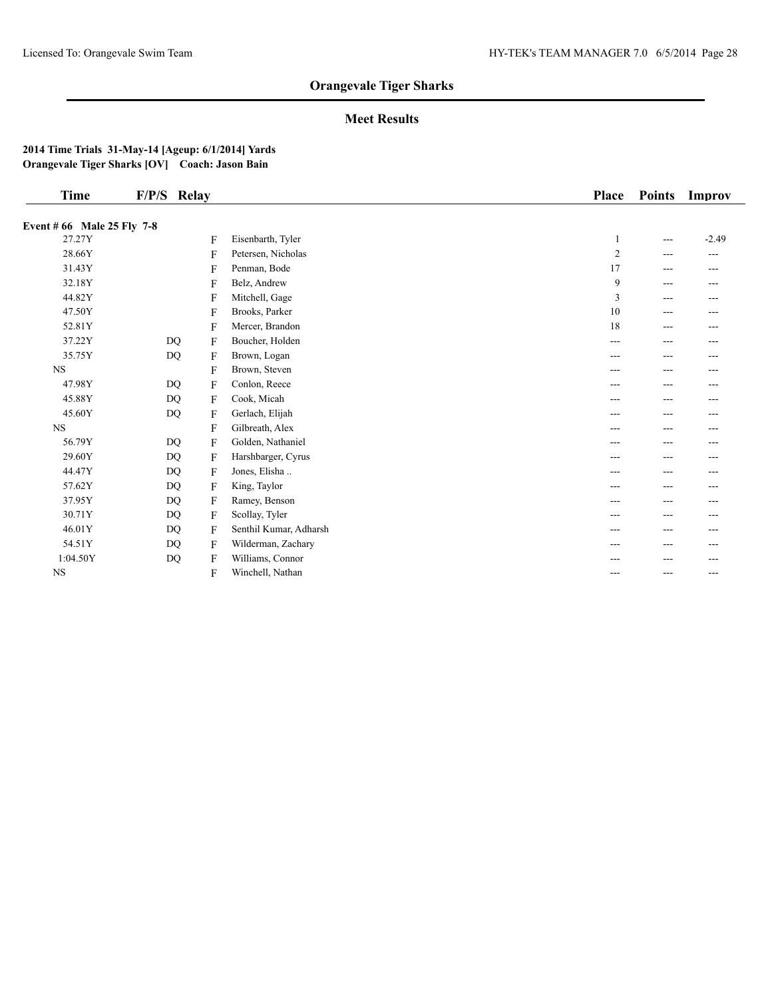## **Meet Results**

| Time                       | F/P/S Relay |              |                        | <b>Place</b>   | <b>Points</b> | Improv   |
|----------------------------|-------------|--------------|------------------------|----------------|---------------|----------|
| Event # 66 Male 25 Fly 7-8 |             |              |                        |                |               |          |
| 27.27Y                     |             | F            | Eisenbarth, Tyler      | $\mathbf{1}$   | ---           | $-2.49$  |
| 28.66Y                     |             | F            | Petersen, Nicholas     | $\overline{c}$ | ---           | $\cdots$ |
| 31.43Y                     |             | $\mathbf{F}$ | Penman, Bode           | 17             | ---           | ---      |
| 32.18Y                     |             | F            | Belz, Andrew           | 9              | ---           | ---      |
| 44.82Y                     |             | F            | Mitchell, Gage         | 3              | ---           | ---      |
| 47.50Y                     |             | F            | Brooks, Parker         | 10             | ---           | ---      |
| 52.81Y                     |             | F            | Mercer, Brandon        | 18             | ---           | ---      |
| 37.22Y                     | <b>DQ</b>   | F            | Boucher, Holden        | ---            | ---           | ---      |
| 35.75Y                     | DQ          | F            | Brown, Logan           | ---            | ---           | ---      |
| <b>NS</b>                  |             | F            | Brown, Steven          | ---            | ---           | ---      |
| 47.98Y                     | DQ          | F            | Conlon, Reece          | ---            | ---           | ---      |
| 45.88Y                     | DQ          | $\mathbf{F}$ | Cook, Micah            | ---            | ---           | ---      |
| 45.60Y                     | DQ          | F            | Gerlach, Elijah        | ---            | ---           | ---      |
| <b>NS</b>                  |             | F            | Gilbreath, Alex        | ---            | ---           | ---      |
| 56.79Y                     | DQ          | F            | Golden, Nathaniel      | ---            | ---           | ---      |
| 29.60Y                     | <b>DQ</b>   | F            | Harshbarger, Cyrus     | ---            | ---           | ---      |
| 44.47Y                     | DQ          | F            | Jones, Elisha          | ---            | ---           | ---      |
| 57.62Y                     | <b>DQ</b>   | F            | King, Taylor           | ---            | ---           | ---      |
| 37.95Y                     | DQ          | F            | Ramey, Benson          | ---            | ---           | ---      |
| 30.71Y                     | DQ          | F            | Scollay, Tyler         | ---            | ---           | ---      |
| 46.01Y                     | DQ          | F            | Senthil Kumar, Adharsh | ---            | ---           | ---      |
| 54.51Y                     | DQ          | $\mathbf{F}$ | Wilderman, Zachary     | ---            | ---           | ---      |
| 1:04.50Y                   | $\rm DQ$    | F            | Williams, Connor       | ---            | ---           | ---      |
| <b>NS</b>                  |             | F            | Winchell, Nathan       | ---            | ---           | ---      |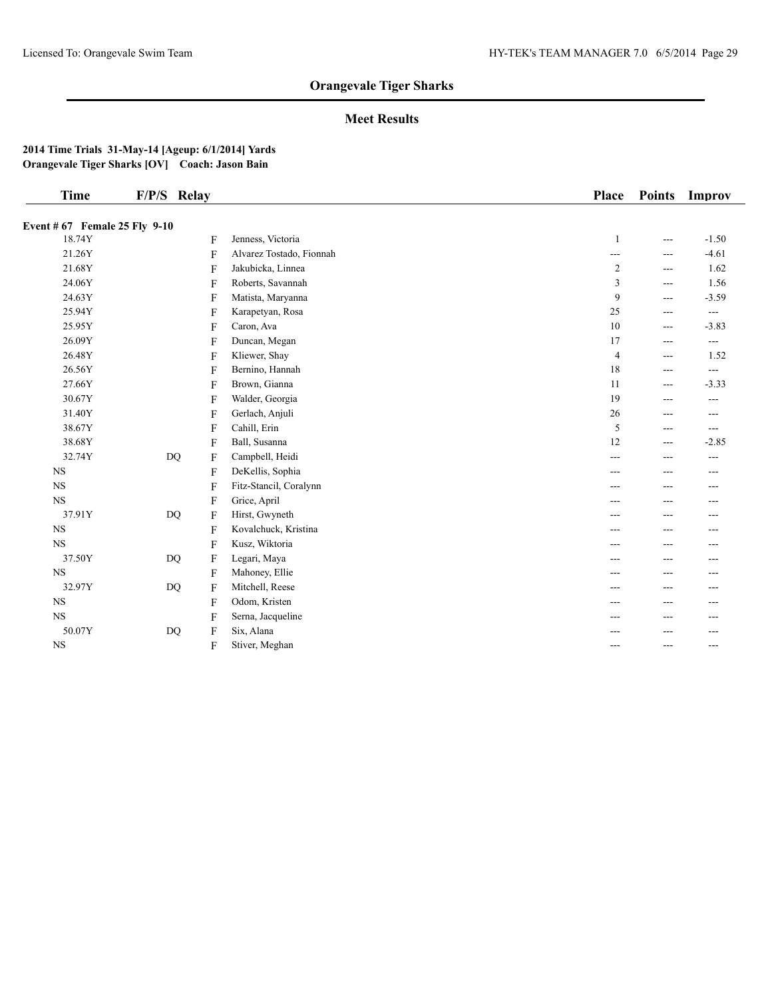## **Meet Results**

| <b>Time</b>                   | F/P/S Relay |                |                          | <b>Place</b>   | <b>Points</b>     | Improv         |
|-------------------------------|-------------|----------------|--------------------------|----------------|-------------------|----------------|
| Event # 67 Female 25 Fly 9-10 |             |                |                          |                |                   |                |
| 18.74Y                        |             | F              | Jenness, Victoria        | $\mathbf{1}$   | $---$             | $-1.50$        |
| 21.26Y                        |             | F              | Alvarez Tostado, Fionnah | ---            | $---$             | $-4.61$        |
| 21.68Y                        |             | F              | Jakubicka, Linnea        | $\overline{c}$ | $---$             | 1.62           |
| 24.06Y                        |             | F              | Roberts, Savannah        | 3              | $---$             | 1.56           |
| 24.63Y                        |             | F              | Matista, Maryanna        | 9              | $---$             | $-3.59$        |
| 25.94Y                        |             | F              | Karapetyan, Rosa         | 25             | $---$             | $\overline{a}$ |
| 25.95Y                        |             | F              | Caron, Ava               | 10             | $---$             | $-3.83$        |
| 26.09Y                        |             | F              | Duncan, Megan            | 17             | $---$             | ---            |
| 26.48Y                        |             | F              | Kliewer, Shay            | $\overline{4}$ | $\qquad \qquad -$ | 1.52           |
| 26.56Y                        |             | F              | Bernino, Hannah          | 18             | $---$             | $---$          |
| 27.66Y                        |             | F              | Brown, Gianna            | 11             | $---$             | $-3.33$        |
| 30.67Y                        |             | F              | Walder, Georgia          | 19             | $---$             | $---$          |
| 31.40Y                        |             | F              | Gerlach, Anjuli          | 26             | $---$             | $---$          |
| 38.67Y                        |             | F              | Cahill, Erin             | 5              | $---$             | $---$          |
| 38.68Y                        |             | F              | Ball, Susanna            | 12             | $---$             | $-2.85$        |
| 32.74Y                        | <b>DQ</b>   | F              | Campbell, Heidi          | ---            | $---$             | ---            |
| <b>NS</b>                     |             | F              | DeKellis, Sophia         | ---            | ---               | $- - -$        |
| $_{\rm NS}$                   |             | $\overline{F}$ | Fitz-Stancil, Coralynn   | ---            | ---               | ---            |
| <b>NS</b>                     |             | F              | Grice, April             | ---            | $---$             | $---$          |
| 37.91Y                        | DQ          | F              | Hirst, Gwyneth           | ---            |                   | ---            |
| <b>NS</b>                     |             | F              | Kovalchuck, Kristina     | ---            |                   | ---            |
| <b>NS</b>                     |             | F              | Kusz, Wiktoria           | ---            | $---$             | $---$          |
| 37.50Y                        | DQ          | F              | Legari, Maya             | ---            | ---               | ---            |
| <b>NS</b>                     |             | $\overline{F}$ | Mahoney, Ellie           | ---            | $---$             | ---            |
| 32.97Y                        | DQ          | F              | Mitchell, Reese          | ---            | $- - -$           | $- - -$        |
| <b>NS</b>                     |             | F              | Odom, Kristen            | ---            | ---               | ---            |
| $_{\rm NS}$                   |             | F              | Serna, Jacqueline        | ---            | ---               | ---            |
| 50.07Y                        | DQ          | F              | Six, Alana               |                |                   | ---            |
| <b>NS</b>                     |             | F              | Stiver, Meghan           | ---            | ---               | $---$          |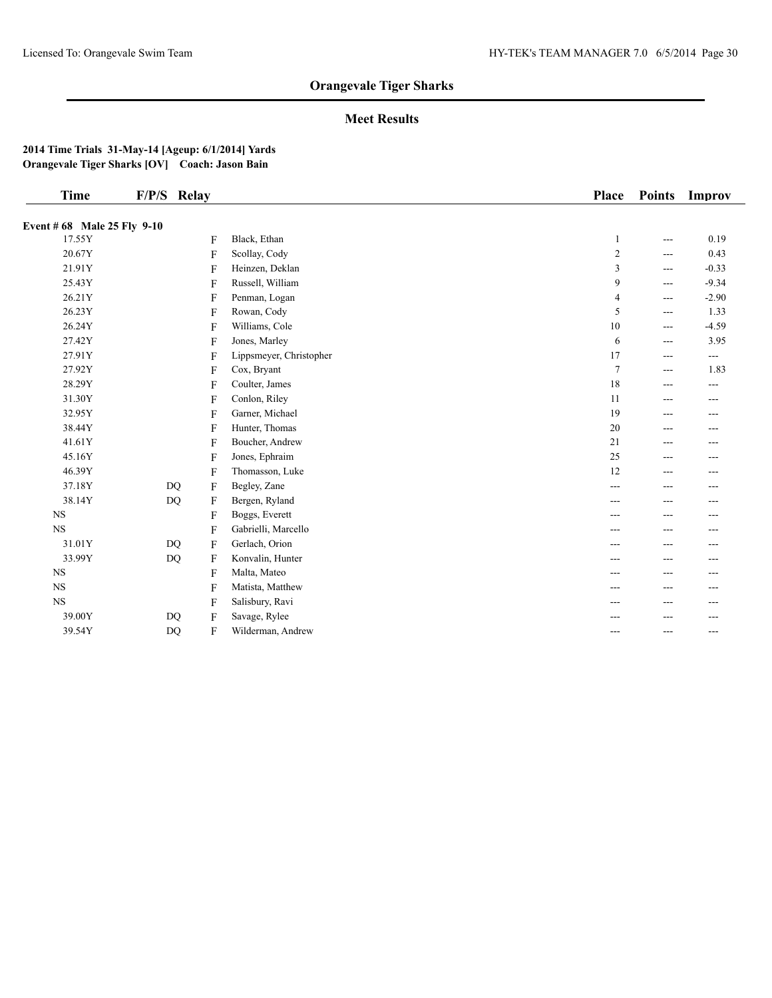## **Meet Results**

| <b>Time</b>                 | F/P/S Relay                 |                         | <b>Place</b>   | <b>Points</b>     | Improv  |
|-----------------------------|-----------------------------|-------------------------|----------------|-------------------|---------|
| Event # 68 Male 25 Fly 9-10 |                             |                         |                |                   |         |
| 17.55Y                      | F                           | Black, Ethan            | 1              | $\qquad \qquad -$ | 0.19    |
| 20.67Y                      | F                           | Scollay, Cody           | $\overline{c}$ | $---$             | 0.43    |
| 21.91Y                      | F                           | Heinzen, Deklan         | 3              | $---$             | $-0.33$ |
| 25.43Y                      | F                           | Russell, William        | 9              | $---$             | $-9.34$ |
| 26.21Y                      | F                           | Penman, Logan           | 4              | $---$             | $-2.90$ |
| 26.23Y                      | F                           | Rowan, Cody             | 5              | $\qquad \qquad -$ | 1.33    |
| 26.24Y                      | F                           | Williams, Cole          | 10             | $\qquad \qquad -$ | $-4.59$ |
| 27.42Y                      | F                           | Jones, Marley           | 6              | $---$             | 3.95    |
| 27.91Y                      | $\overline{F}$              | Lippsmeyer, Christopher | 17             | $---$             | ---     |
| 27.92Y                      | F                           | Cox, Bryant             | $\overline{7}$ | $---$             | 1.83    |
| 28.29Y                      | F                           | Coulter, James          | 18             | $---$             | ---     |
| 31.30Y                      | F                           | Conlon, Riley           | 11             | $- - -$           | $- - -$ |
| 32.95Y                      | F                           | Garner, Michael         | 19             | $---$             | $---$   |
| 38.44Y                      | F                           | Hunter, Thomas          | 20             | $---$             | $---$   |
| 41.61Y                      | F                           | Boucher, Andrew         | 21             | $---$             | ---     |
| 45.16Y                      | $\overline{F}$              | Jones, Ephraim          | 25             | $---$             | $---$   |
| 46.39Y                      | F                           | Thomasson, Luke         | 12             | $---$             | ---     |
| 37.18Y                      | <b>DQ</b><br>$\mathbf{F}$   | Begley, Zane            | ---            | ---               | ---     |
| 38.14Y                      | <b>DQ</b><br>$\overline{F}$ | Bergen, Ryland          | ---            | $---$             | $---$   |
| <b>NS</b>                   | F                           | Boggs, Everett          | ---            | $---$             | ---     |
| <b>NS</b>                   | F                           | Gabrielli, Marcello     | ---            |                   | ---     |
| 31.01Y                      | <b>DQ</b><br>F              | Gerlach, Orion          | ---            | ---               | ---     |
| 33.99Y                      | DQ<br>F                     | Konvalin, Hunter        | ---            | $---$             | ---     |
| <b>NS</b>                   | $\mathbf{F}$                | Malta, Mateo            | ---            | ---               | ---     |
| <b>NS</b>                   | F                           | Matista, Matthew        | ---            | $---$             | $---$   |
| <b>NS</b>                   | F                           | Salisbury, Ravi         | ---            | ---               | ---     |
| 39.00Y                      | DQ<br>F                     | Savage, Rylee           |                |                   |         |
| 39.54Y                      | DQ<br>F                     | Wilderman, Andrew       | ---            | $---$             | $---$   |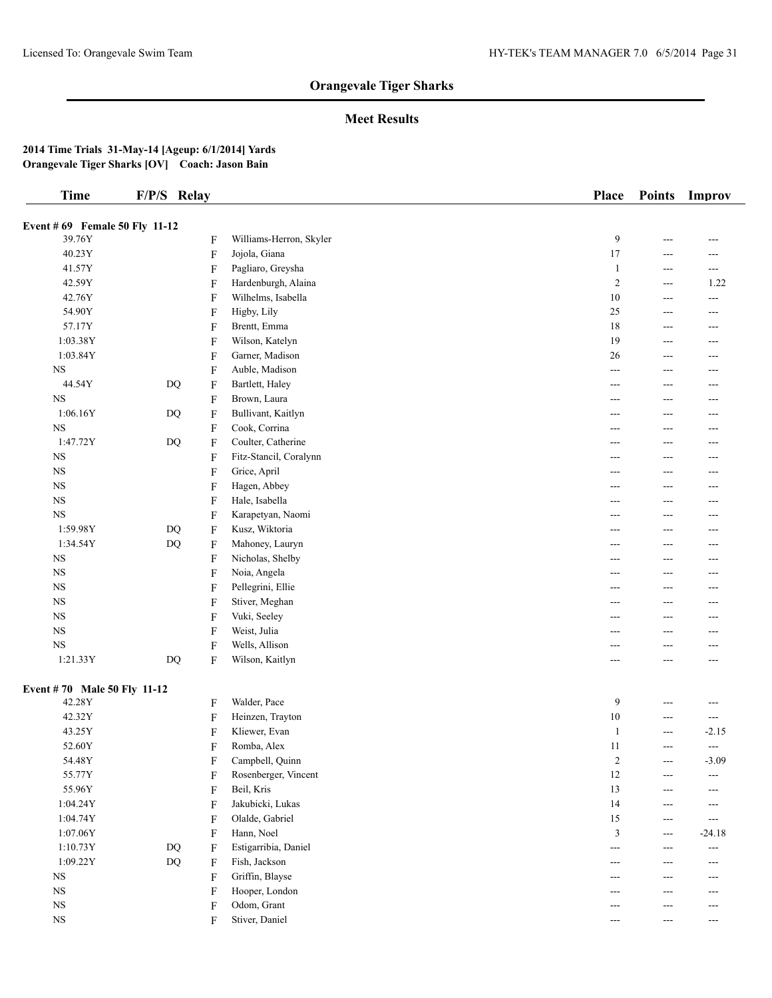## **Meet Results**

| <b>Time</b>                    | F/P/S Relay            |         |                         | <b>Place</b>          | <b>Points</b>  | Improv                          |
|--------------------------------|------------------------|---------|-------------------------|-----------------------|----------------|---------------------------------|
| Event # 69 Female 50 Fly 11-12 |                        |         |                         |                       |                |                                 |
| 39.76Y                         |                        | F       | Williams-Herron, Skyler | 9                     | $---$          | ---                             |
| 40.23Y                         |                        | F       | Jojola, Giana           | $17$                  |                |                                 |
| 41.57Y                         |                        | F       | Pagliaro, Greysha       | $\mathbf{1}$          | ---<br>$---$   | ---<br>$\overline{\phantom{a}}$ |
| 42.59Y                         |                        | F       | Hardenburgh, Alaina     | $\overline{2}$        |                | 1.22                            |
|                                |                        |         |                         |                       | $\sim$ $\sim$  |                                 |
| 42.76Y                         |                        | F       | Wilhelms, Isabella      | 10<br>25              | ---            | $\qquad \qquad -$               |
| 54.90Y                         |                        | F       | Higby, Lily             |                       | $---$          | $---$                           |
| 57.17Y                         |                        | F       | Brentt, Emma            | 18                    | $\overline{a}$ | $\overline{a}$                  |
| 1:03.38Y                       |                        | F       | Wilson, Katelyn         | 19                    | $---$          | ---                             |
| 1:03.84Y                       |                        | F       | Garner, Madison         | 26                    | $---$          | $---$                           |
| $_{\rm NS}$                    |                        | F       | Auble, Madison          | ---                   | $---$          | $---$                           |
| 44.54Y                         | $\mathbf{D}\mathbf{Q}$ | F       | Bartlett, Haley         | ---                   | ---            | ---                             |
| <b>NS</b>                      |                        | F       | Brown, Laura            | ---                   | $---$          | $---$                           |
| 1:06.16Y                       | $\mathbf{D}\mathbf{Q}$ | F       | Bullivant, Kaitlyn      | ---                   | $---$          | $---$                           |
| $_{\rm NS}$                    |                        | F       | Cook, Corrina           | ---                   | ---            | ---                             |
| 1:47.72Y                       | <b>DQ</b>              | F       | Coulter, Catherine      | ---                   | $---$          | $---$                           |
| $_{\rm NS}$                    |                        | F       | Fitz-Stancil, Coralynn  | ---                   | $---$          | ---                             |
| <b>NS</b>                      |                        | F       | Grice, April            | ---                   |                | ---                             |
| <b>NS</b>                      |                        | F       | Hagen, Abbey            | ---                   | ---            | $---$                           |
| <b>NS</b>                      |                        | F       | Hale, Isabella          | ---                   | ---            | ---                             |
| <b>NS</b>                      |                        | F       | Karapetyan, Naomi       | ---                   | ---            | ---                             |
| 1:59.98Y                       | <b>DQ</b>              | F       | Kusz, Wiktoria          | ---                   | $---$          | $---$                           |
| 1:34.54Y                       | <b>DQ</b>              | F       | Mahoney, Lauryn         | ---                   | ---            | ---                             |
| $_{\rm NS}$                    |                        | F       | Nicholas, Shelby        | ---                   |                | ---                             |
| $_{\rm NS}$                    |                        | F       | Noia, Angela            | ---                   | ---            | $---$                           |
| <b>NS</b>                      |                        | F       | Pellegrini, Ellie       | ---                   | ---            | $---$                           |
| <b>NS</b>                      |                        | F       | Stiver, Meghan          | ---                   |                | ---                             |
| $_{\rm NS}$                    |                        | F       | Vuki, Seeley            | ---                   | ---            | $---$                           |
| <b>NS</b>                      |                        | F       | Weist, Julia            | ---                   | ---            | ---                             |
| <b>NS</b>                      |                        | F       | Wells, Allison          | ---                   | ---            | ---                             |
| 1:21.33Y                       | $\mathbf{D}\mathbf{Q}$ | F       | Wilson, Kaitlyn         | ---                   | ---            | $---$                           |
| Event #70 Male 50 Fly 11-12    |                        |         |                         |                       |                |                                 |
| 42.28Y                         |                        | F       | Walder, Pace            | 9                     | $---$          | $\overline{a}$                  |
| 42.32Y                         |                        | F       | Heinzen, Trayton        | $10\,$                | ---            | $\sim$ $\sim$                   |
| 43.25Y                         |                        | F       | Kliewer, Evan           | $\mathbf{1}$          | $---$          | $-2.15$                         |
| 52.60Y                         |                        | F       | Romba, Alex             | 11                    | $- - -$        | $\overline{a}$                  |
| 54.48Y                         |                        | F       | Campbell, Quinn         | $\overline{c}$        | $---$          | $-3.09$                         |
| 55.77Y                         |                        | F       | Rosenberger, Vincent    | 12                    | ---            | $\overline{a}$                  |
| 55.96Y                         |                        | F       | Beil, Kris              | 13                    | $---$          | ---                             |
| 1:04.24Y                       |                        | F       | Jakubicki, Lukas        | 14                    | ---            | ---                             |
| 1:04.74Y                       |                        | F       | Olalde, Gabriel         | 15                    | $---$          | $\overline{a}$                  |
| 1:07.06Y                       |                        | F       | Hann, Noel              | 3                     | $- - -$        | $-24.18$                        |
| 1:10.73Y                       | DQ                     | F       | Estigarribia, Daniel    | $---$                 | $---$          | $\qquad \qquad -$               |
| 1:09.22Y                       | <b>DQ</b>              | $\rm F$ | Fish, Jackson           | ---                   | $---$          | $---$                           |
| $_{\rm NS}$                    |                        | F       | Griffin, Blayse         | ---                   | ---            | ---                             |
| <b>NS</b>                      |                        | F       | Hooper, London          | ---                   |                | ---                             |
| <b>NS</b>                      |                        | F       | Odom, Grant             | ---                   | ---            | $---$                           |
| $_{\rm NS}$                    |                        | F       | Stiver, Daniel          | $\scriptstyle \cdots$ | $---$          | $\sim$ $\sim$                   |
|                                |                        |         |                         |                       |                |                                 |